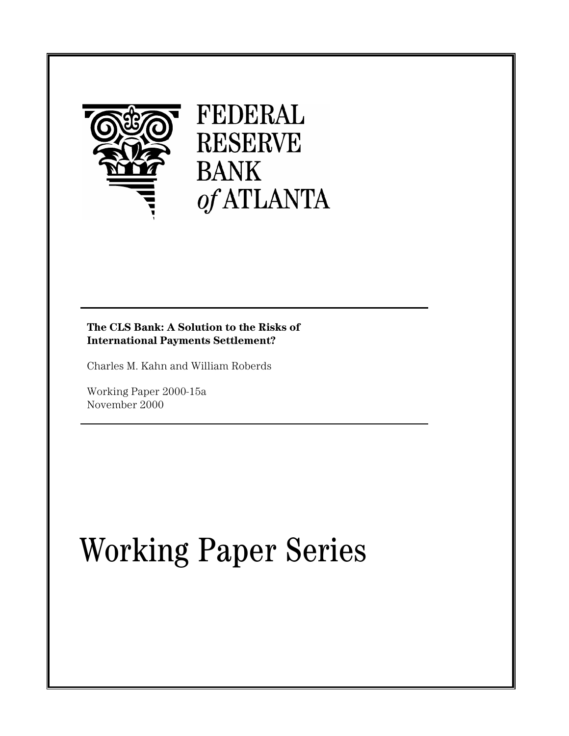

## FEDERAL **RESERVE BANK** of ATLANTA

#### **The CLS Bank: A Solution to the Risks of International Payments Settlement?**

Charles M. Kahn and William Roberds

Working Paper 2000-15a November 2000

# Working Paper Series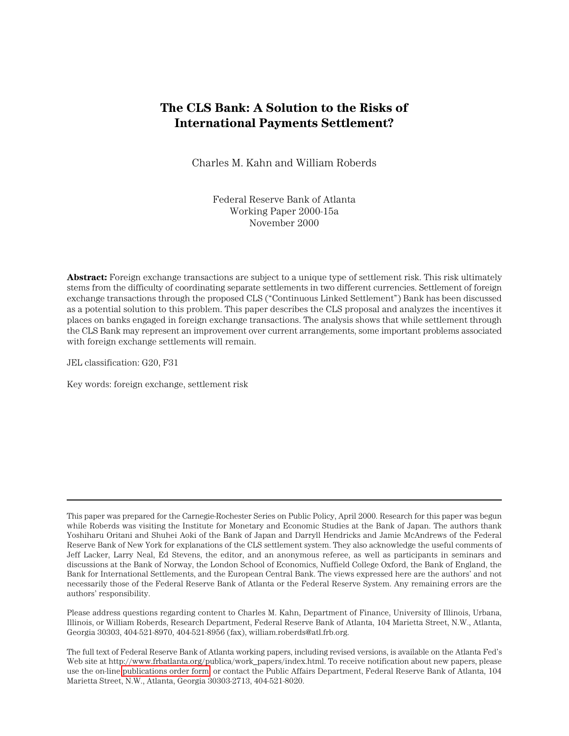## **The CLS Bank: A Solution to the Risks of International Payments Settlement?**

Charles M. Kahn and William Roberds

Federal Reserve Bank of Atlanta Working Paper 2000-15a November 2000

**Abstract:** Foreign exchange transactions are subject to a unique type of settlement risk. This risk ultimately stems from the difficulty of coordinating separate settlements in two different currencies. Settlement of foreign exchange transactions through the proposed CLS ("Continuous Linked Settlement") Bank has been discussed as a potential solution to this problem. This paper describes the CLS proposal and analyzes the incentives it places on banks engaged in foreign exchange transactions. The analysis shows that while settlement through the CLS Bank may represent an improvement over current arrangements, some important problems associated with foreign exchange settlements will remain.

JEL classification: G20, F31

Key words: foreign exchange, settlement risk

Please address questions regarding content to Charles M. Kahn, Department of Finance, University of Illinois, Urbana, Illinois, or William Roberds, Research Department, Federal Reserve Bank of Atlanta, 104 Marietta Street, N.W., Atlanta, Georgia 30303, 404-521-8970, 404-521-8956 (fax), william.roberds@atl.frb.org.

The full text of Federal Reserve Bank of Atlanta working papers, including revised versions, is available on the Atlanta Fed's Web site at http://www.frbatlanta.org/publica/work\_papers/index.html. To receive notification about new papers, please use the on-line [publications order form,](http://www.frbatlanta.org/publica/ordform.cfm) or contact the Public Affairs Department, Federal Reserve Bank of Atlanta, 104 Marietta Street, N.W., Atlanta, Georgia 30303-2713, 404-521-8020.

This paper was prepared for the Carnegie-Rochester Series on Public Policy, April 2000. Research for this paper was begun while Roberds was visiting the Institute for Monetary and Economic Studies at the Bank of Japan. The authors thank Yoshiharu Oritani and Shuhei Aoki of the Bank of Japan and Darryll Hendricks and Jamie McAndrews of the Federal Reserve Bank of New York for explanations of the CLS settlement system. They also acknowledge the useful comments of Jeff Lacker, Larry Neal, Ed Stevens, the editor, and an anonymous referee, as well as participants in seminars and discussions at the Bank of Norway, the London School of Economics, Nuffield College Oxford, the Bank of England, the Bank for International Settlements, and the European Central Bank. The views expressed here are the authors' and not necessarily those of the Federal Reserve Bank of Atlanta or the Federal Reserve System. Any remaining errors are the authors' responsibility.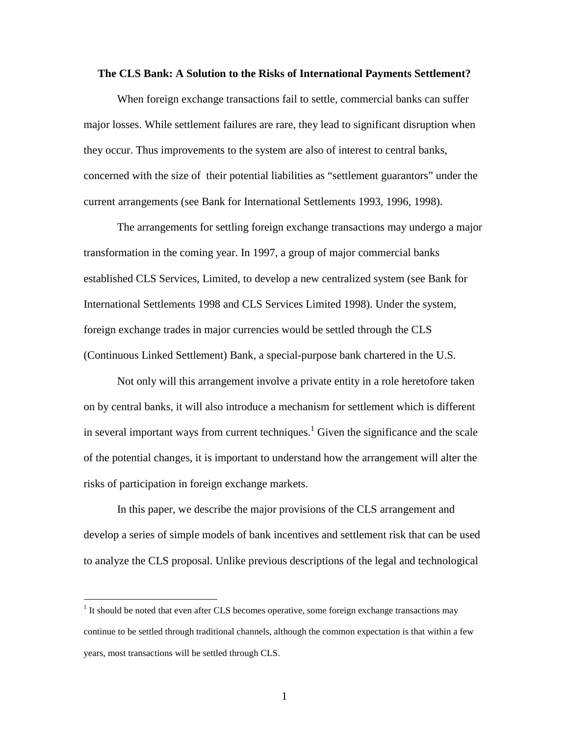#### **The CLS Bank: A Solution to the Risks of International Payments Settlement?**

When foreign exchange transactions fail to settle, commercial banks can suffer major losses. While settlement failures are rare, they lead to significant disruption when they occur. Thus improvements to the system are also of interest to central banks, concerned with the size of their potential liabilities as "settlement guarantors" under the current arrangements (see Bank for International Settlements 1993, 1996, 1998).

The arrangements for settling foreign exchange transactions may undergo a major transformation in the coming year. In 1997, a group of major commercial banks established CLS Services, Limited, to develop a new centralized system (see Bank for International Settlements 1998 and CLS Services Limited 1998). Under the system, foreign exchange trades in major currencies would be settled through the CLS (Continuous Linked Settlement) Bank, a special-purpose bank chartered in the U.S.

Not only will this arrangement involve a private entity in a role heretofore taken on by central banks, it will also introduce a mechanism for settlement which is different in several important ways from current techniques.<sup>1</sup> Given the significance and the scale of the potential changes, it is important to understand how the arrangement will alter the risks of participation in foreign exchange markets.

In this paper, we describe the major provisions of the CLS arrangement and develop a series of simple models of bank incentives and settlement risk that can be used to analyze the CLS proposal. Unlike previous descriptions of the legal and technological

 $1$  It should be noted that even after CLS becomes operative, some foreign exchange transactions may continue to be settled through traditional channels, although the common expectation is that within a few years, most transactions will be settled through CLS.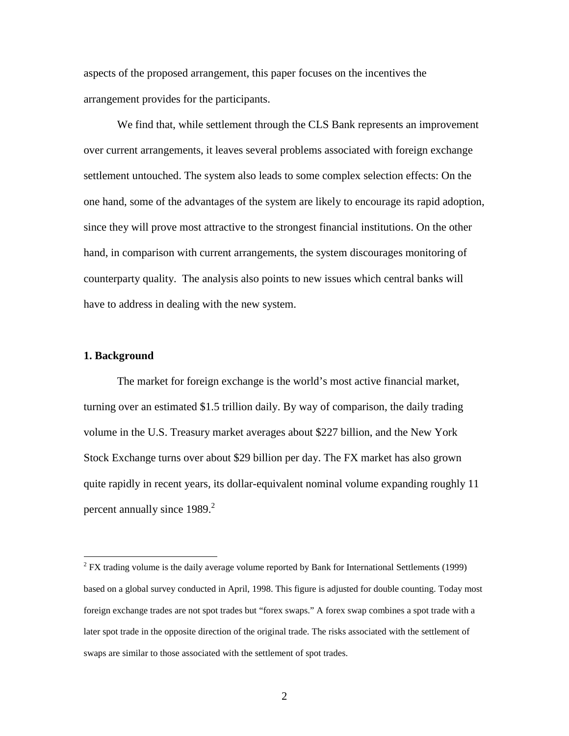aspects of the proposed arrangement, this paper focuses on the incentives the arrangement provides for the participants.

We find that, while settlement through the CLS Bank represents an improvement over current arrangements, it leaves several problems associated with foreign exchange settlement untouched. The system also leads to some complex selection effects: On the one hand, some of the advantages of the system are likely to encourage its rapid adoption, since they will prove most attractive to the strongest financial institutions. On the other hand, in comparison with current arrangements, the system discourages monitoring of counterparty quality. The analysis also points to new issues which central banks will have to address in dealing with the new system.

#### **1. Background**

 $\overline{a}$ 

The market for foreign exchange is the world's most active financial market, turning over an estimated \$1.5 trillion daily. By way of comparison, the daily trading volume in the U.S. Treasury market averages about \$227 billion, and the New York Stock Exchange turns over about \$29 billion per day. The FX market has also grown quite rapidly in recent years, its dollar-equivalent nominal volume expanding roughly 11 percent annually since  $1989.<sup>2</sup>$ 

 $2$  FX trading volume is the daily average volume reported by Bank for International Settlements (1999) based on a global survey conducted in April, 1998. This figure is adjusted for double counting. Today most foreign exchange trades are not spot trades but "forex swaps." A forex swap combines a spot trade with a later spot trade in the opposite direction of the original trade. The risks associated with the settlement of swaps are similar to those associated with the settlement of spot trades.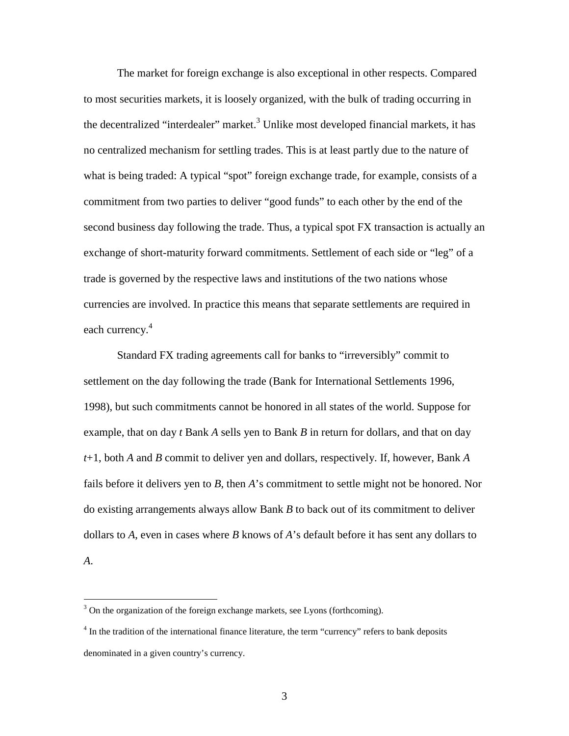The market for foreign exchange is also exceptional in other respects. Compared to most securities markets, it is loosely organized, with the bulk of trading occurring in the decentralized "interdealer" market.<sup>3</sup> Unlike most developed financial markets, it has no centralized mechanism for settling trades. This is at least partly due to the nature of what is being traded: A typical "spot" foreign exchange trade, for example, consists of a commitment from two parties to deliver "good funds" to each other by the end of the second business day following the trade. Thus, a typical spot FX transaction is actually an exchange of short-maturity forward commitments. Settlement of each side or "leg" of a trade is governed by the respective laws and institutions of the two nations whose currencies are involved. In practice this means that separate settlements are required in each currency.<sup>4</sup>

Standard FX trading agreements call for banks to "irreversibly" commit to settlement on the day following the trade (Bank for International Settlements 1996, 1998), but such commitments cannot be honored in all states of the world. Suppose for example, that on day *t* Bank *A* sells yen to Bank *B* in return for dollars, and that on day *t*+1, both *A* and *B* commit to deliver yen and dollars, respectively. If, however, Bank *A* fails before it delivers yen to *B*, then *A*'s commitment to settle might not be honored. Nor do existing arrangements always allow Bank *B* to back out of its commitment to deliver dollars to *A*, even in cases where *B* knows of *A*'s default before it has sent any dollars to *A*.

 $3$  On the organization of the foreign exchange markets, see Lyons (forthcoming).

<sup>&</sup>lt;sup>4</sup> In the tradition of the international finance literature, the term "currency" refers to bank deposits denominated in a given country's currency.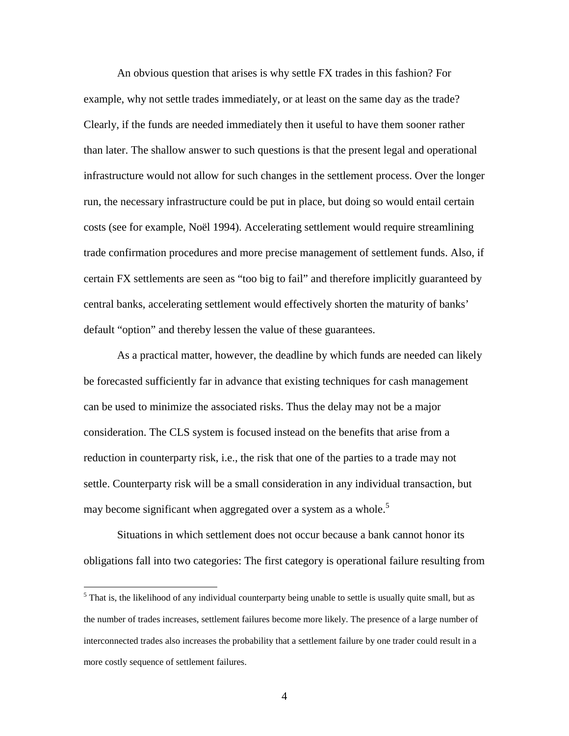An obvious question that arises is why settle FX trades in this fashion? For example, why not settle trades immediately, or at least on the same day as the trade? Clearly, if the funds are needed immediately then it useful to have them sooner rather than later. The shallow answer to such questions is that the present legal and operational infrastructure would not allow for such changes in the settlement process. Over the longer run, the necessary infrastructure could be put in place, but doing so would entail certain costs (see for example, Noël 1994). Accelerating settlement would require streamlining trade confirmation procedures and more precise management of settlement funds. Also, if certain FX settlements are seen as "too big to fail" and therefore implicitly guaranteed by central banks, accelerating settlement would effectively shorten the maturity of banks' default "option" and thereby lessen the value of these guarantees.

As a practical matter, however, the deadline by which funds are needed can likely be forecasted sufficiently far in advance that existing techniques for cash management can be used to minimize the associated risks. Thus the delay may not be a major consideration. The CLS system is focused instead on the benefits that arise from a reduction in counterparty risk, i.e., the risk that one of the parties to a trade may not settle. Counterparty risk will be a small consideration in any individual transaction, but may become significant when aggregated over a system as a whole.<sup>5</sup>

Situations in which settlement does not occur because a bank cannot honor its obligations fall into two categories: The first category is operational failure resulting from

<sup>&</sup>lt;sup>5</sup> That is, the likelihood of any individual counterparty being unable to settle is usually quite small, but as the number of trades increases, settlement failures become more likely. The presence of a large number of interconnected trades also increases the probability that a settlement failure by one trader could result in a more costly sequence of settlement failures.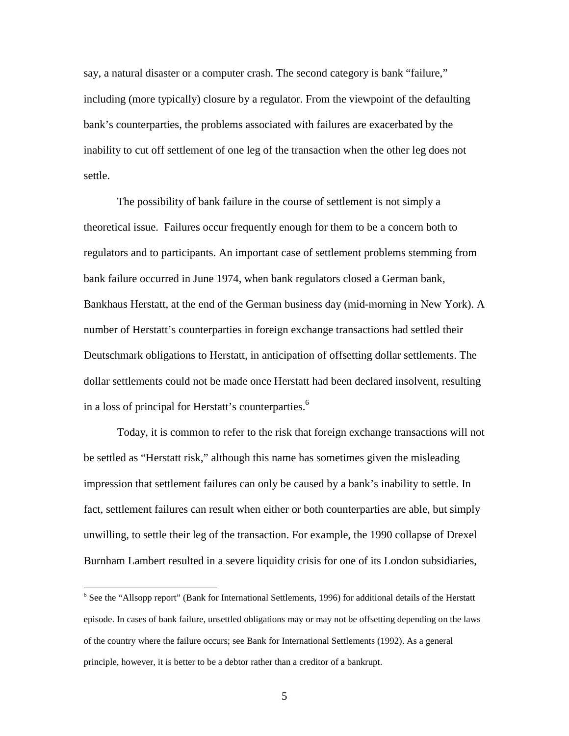say, a natural disaster or a computer crash. The second category is bank "failure," including (more typically) closure by a regulator. From the viewpoint of the defaulting bank's counterparties, the problems associated with failures are exacerbated by the inability to cut off settlement of one leg of the transaction when the other leg does not settle.

The possibility of bank failure in the course of settlement is not simply a theoretical issue. Failures occur frequently enough for them to be a concern both to regulators and to participants. An important case of settlement problems stemming from bank failure occurred in June 1974, when bank regulators closed a German bank, Bankhaus Herstatt, at the end of the German business day (mid-morning in New York). A number of Herstatt's counterparties in foreign exchange transactions had settled their Deutschmark obligations to Herstatt, in anticipation of offsetting dollar settlements. The dollar settlements could not be made once Herstatt had been declared insolvent, resulting in a loss of principal for Herstatt's counterparties.<sup>6</sup>

Today, it is common to refer to the risk that foreign exchange transactions will not be settled as "Herstatt risk," although this name has sometimes given the misleading impression that settlement failures can only be caused by a bank's inability to settle. In fact, settlement failures can result when either or both counterparties are able, but simply unwilling, to settle their leg of the transaction. For example, the 1990 collapse of Drexel Burnham Lambert resulted in a severe liquidity crisis for one of its London subsidiaries,

<sup>&</sup>lt;sup>6</sup> See the "Allsopp report" (Bank for International Settlements, 1996) for additional details of the Herstatt episode. In cases of bank failure, unsettled obligations may or may not be offsetting depending on the laws of the country where the failure occurs; see Bank for International Settlements (1992). As a general principle, however, it is better to be a debtor rather than a creditor of a bankrupt.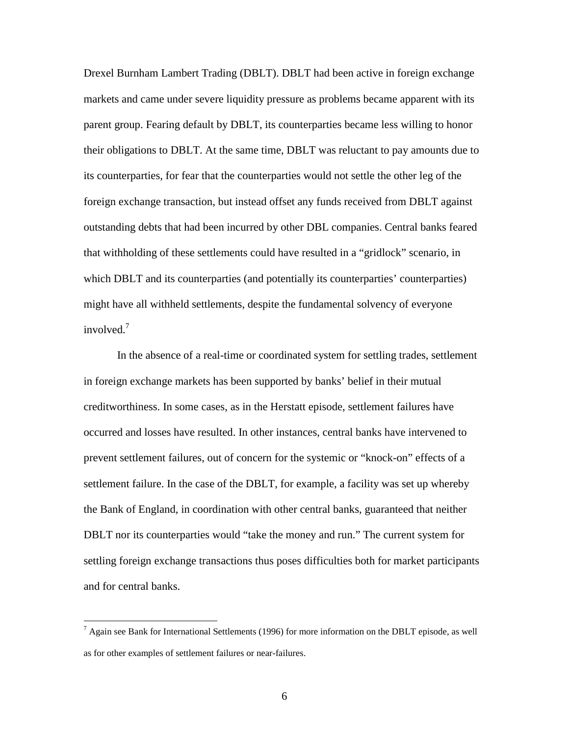Drexel Burnham Lambert Trading (DBLT). DBLT had been active in foreign exchange markets and came under severe liquidity pressure as problems became apparent with its parent group. Fearing default by DBLT, its counterparties became less willing to honor their obligations to DBLT. At the same time, DBLT was reluctant to pay amounts due to its counterparties, for fear that the counterparties would not settle the other leg of the foreign exchange transaction, but instead offset any funds received from DBLT against outstanding debts that had been incurred by other DBL companies. Central banks feared that withholding of these settlements could have resulted in a "gridlock" scenario, in which DBLT and its counterparties (and potentially its counterparties' counterparties) might have all withheld settlements, despite the fundamental solvency of everyone involved.<sup>7</sup>

In the absence of a real-time or coordinated system for settling trades, settlement in foreign exchange markets has been supported by banks' belief in their mutual creditworthiness. In some cases, as in the Herstatt episode, settlement failures have occurred and losses have resulted. In other instances, central banks have intervened to prevent settlement failures, out of concern for the systemic or "knock-on" effects of a settlement failure. In the case of the DBLT, for example, a facility was set up whereby the Bank of England, in coordination with other central banks, guaranteed that neither DBLT nor its counterparties would "take the money and run." The current system for settling foreign exchange transactions thus poses difficulties both for market participants and for central banks.

 $<sup>7</sup>$  Again see Bank for International Settlements (1996) for more information on the DBLT episode, as well</sup> as for other examples of settlement failures or near-failures.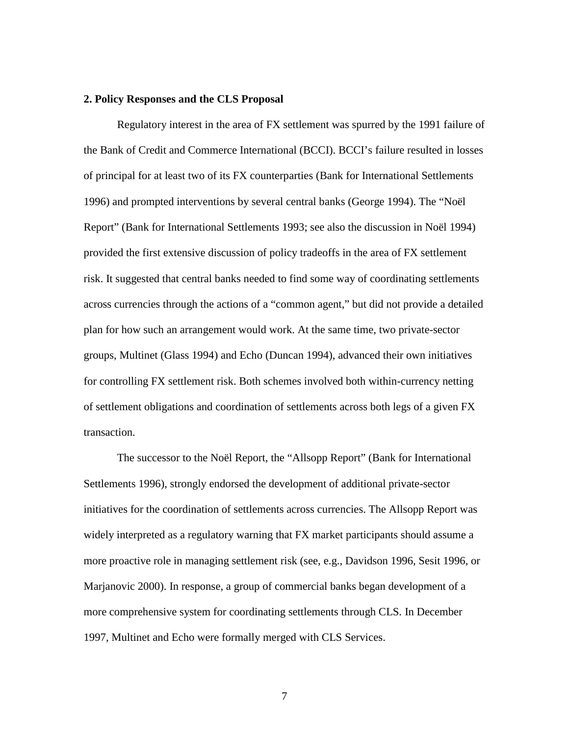#### **2. Policy Responses and the CLS Proposal**

Regulatory interest in the area of FX settlement was spurred by the 1991 failure of the Bank of Credit and Commerce International (BCCI). BCCI's failure resulted in losses of principal for at least two of its FX counterparties (Bank for International Settlements 1996) and prompted interventions by several central banks (George 1994). The "Noël Report" (Bank for International Settlements 1993; see also the discussion in Noël 1994) provided the first extensive discussion of policy tradeoffs in the area of FX settlement risk. It suggested that central banks needed to find some way of coordinating settlements across currencies through the actions of a "common agent," but did not provide a detailed plan for how such an arrangement would work. At the same time, two private-sector groups, Multinet (Glass 1994) and Echo (Duncan 1994), advanced their own initiatives for controlling FX settlement risk. Both schemes involved both within-currency netting of settlement obligations and coordination of settlements across both legs of a given FX transaction.

The successor to the Noël Report, the "Allsopp Report" (Bank for International Settlements 1996), strongly endorsed the development of additional private-sector initiatives for the coordination of settlements across currencies. The Allsopp Report was widely interpreted as a regulatory warning that FX market participants should assume a more proactive role in managing settlement risk (see, e.g., Davidson 1996, Sesit 1996, or Marjanovic 2000). In response, a group of commercial banks began development of a more comprehensive system for coordinating settlements through CLS. In December 1997, Multinet and Echo were formally merged with CLS Services.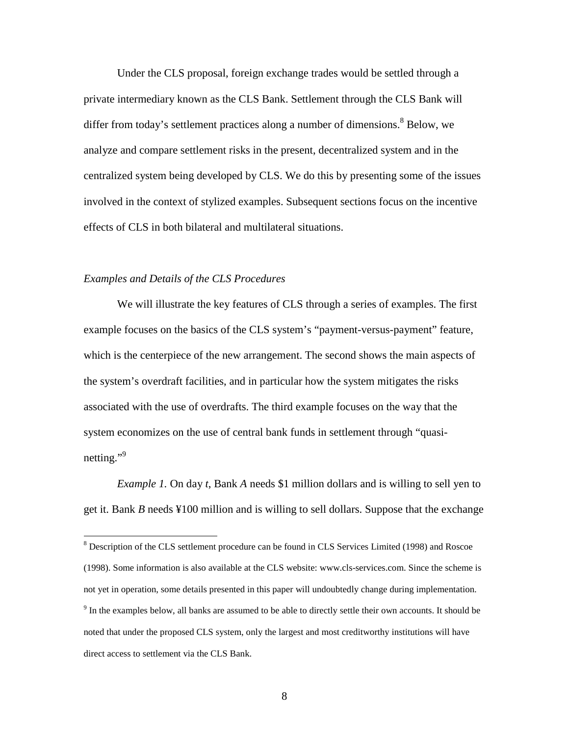Under the CLS proposal, foreign exchange trades would be settled through a private intermediary known as the CLS Bank. Settlement through the CLS Bank will differ from today's settlement practices along a number of dimensions. <sup>8</sup> Below, we analyze and compare settlement risks in the present, decentralized system and in the centralized system being developed by CLS. We do this by presenting some of the issues involved in the context of stylized examples. Subsequent sections focus on the incentive effects of CLS in both bilateral and multilateral situations.

#### *Examples and Details of the CLS Procedures*

 $\overline{a}$ 

We will illustrate the key features of CLS through a series of examples. The first example focuses on the basics of the CLS system's "payment-versus-payment" feature, which is the centerpiece of the new arrangement. The second shows the main aspects of the system's overdraft facilities, and in particular how the system mitigates the risks associated with the use of overdrafts. The third example focuses on the way that the system economizes on the use of central bank funds in settlement through "quasinetting."<sup>9</sup>

*Example 1.* On day *t*, Bank *A* needs \$1 million dollars and is willing to sell yen to get it. Bank *B* needs ¥100 million and is willing to sell dollars. Suppose that the exchange

<sup>&</sup>lt;sup>8</sup> Description of the CLS settlement procedure can be found in CLS Services Limited (1998) and Roscoe (1998). Some information is also available at the CLS website: www.cls-services.com. Since the scheme is not yet in operation, some details presented in this paper will undoubtedly change during implementation. <sup>9</sup> In the examples below, all banks are assumed to be able to directly settle their own accounts. It should be noted that under the proposed CLS system, only the largest and most creditworthy institutions will have direct access to settlement via the CLS Bank.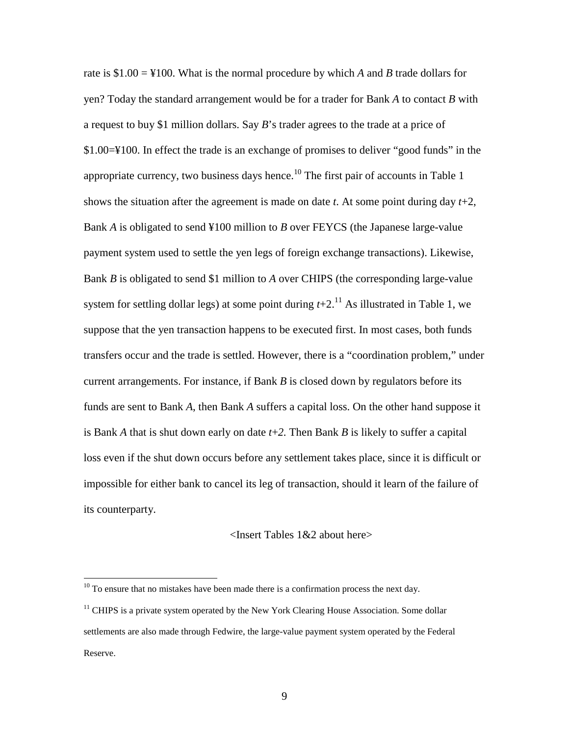rate is \$1.00 = ¥100. What is the normal procedure by which *A* and *B* trade dollars for yen? Today the standard arrangement would be for a trader for Bank *A* to contact *B* with a request to buy \$1 million dollars. Say *B*'s trader agrees to the trade at a price of \$1.00=¥100. In effect the trade is an exchange of promises to deliver "good funds" in the appropriate currency, two business days hence.<sup>10</sup> The first pair of accounts in Table 1 shows the situation after the agreement is made on date *t*. At some point during day *t*+2, Bank *A* is obligated to send ¥100 million to *B* over FEYCS (the Japanese large-value payment system used to settle the yen legs of foreign exchange transactions). Likewise, Bank *B* is obligated to send \$1 million to *A* over CHIPS (the corresponding large-value system for settling dollar legs) at some point during  $t+2$ .<sup>11</sup> As illustrated in Table 1, we suppose that the yen transaction happens to be executed first. In most cases, both funds transfers occur and the trade is settled. However, there is a "coordination problem," under current arrangements. For instance, if Bank *B* is closed down by regulators before its funds are sent to Bank *A*, then Bank *A* suffers a capital loss. On the other hand suppose it is Bank *A* that is shut down early on date *t*+*2.* Then Bank *B* is likely to suffer a capital loss even if the shut down occurs before any settlement takes place, since it is difficult or impossible for either bank to cancel its leg of transaction, should it learn of the failure of its counterparty.

#### <Insert Tables 1&2 about here>

 $10$  To ensure that no mistakes have been made there is a confirmation process the next day.

 $11$  CHIPS is a private system operated by the New York Clearing House Association. Some dollar settlements are also made through Fedwire, the large-value payment system operated by the Federal Reserve.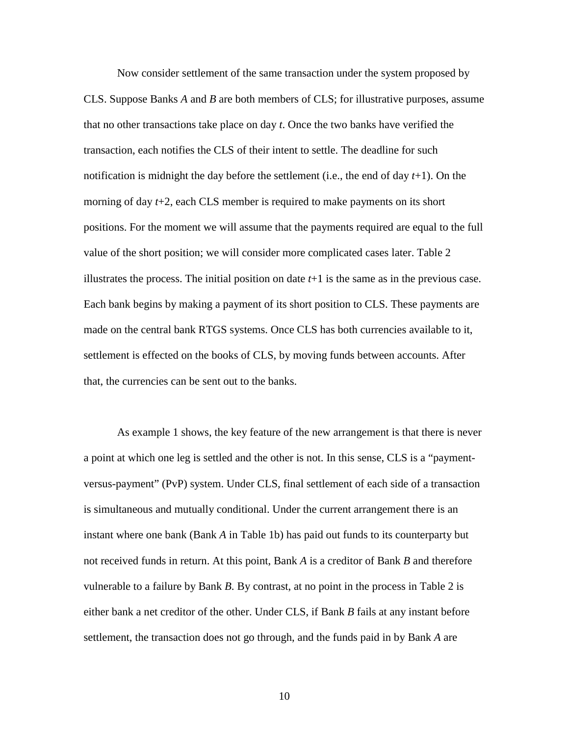Now consider settlement of the same transaction under the system proposed by CLS. Suppose Banks *A* and *B* are both members of CLS; for illustrative purposes, assume that no other transactions take place on day *t*. Once the two banks have verified the transaction, each notifies the CLS of their intent to settle. The deadline for such notification is midnight the day before the settlement (i.e., the end of day *t*+1). On the morning of day *t*+2, each CLS member is required to make payments on its short positions. For the moment we will assume that the payments required are equal to the full value of the short position; we will consider more complicated cases later. Table 2 illustrates the process. The initial position on date *t*+1 is the same as in the previous case. Each bank begins by making a payment of its short position to CLS. These payments are made on the central bank RTGS systems. Once CLS has both currencies available to it, settlement is effected on the books of CLS, by moving funds between accounts. After that, the currencies can be sent out to the banks.

As example 1 shows, the key feature of the new arrangement is that there is never a point at which one leg is settled and the other is not. In this sense, CLS is a "paymentversus-payment" (PvP) system. Under CLS, final settlement of each side of a transaction is simultaneous and mutually conditional. Under the current arrangement there is an instant where one bank (Bank *A* in Table 1b) has paid out funds to its counterparty but not received funds in return. At this point, Bank *A* is a creditor of Bank *B* and therefore vulnerable to a failure by Bank *B*. By contrast, at no point in the process in Table 2 is either bank a net creditor of the other. Under CLS, if Bank *B* fails at any instant before settlement, the transaction does not go through, and the funds paid in by Bank *A* are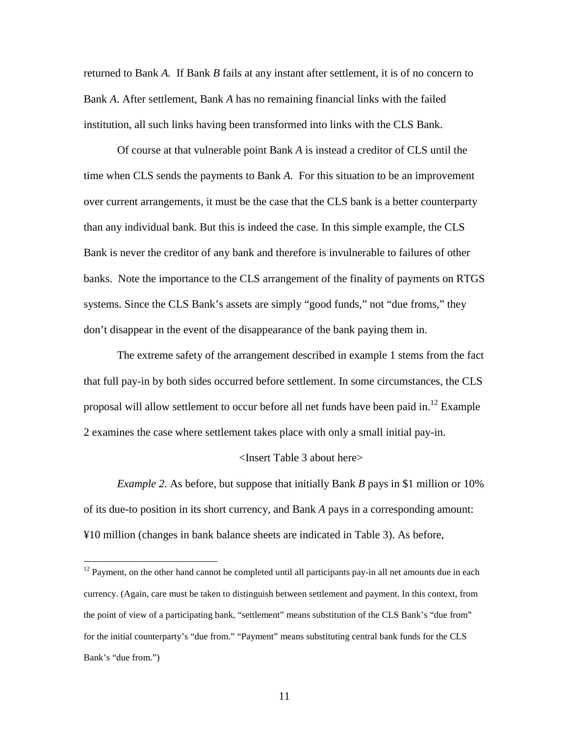returned to Bank *A.* If Bank *B* fails at any instant after settlement, it is of no concern to Bank *A*. After settlement, Bank *A* has no remaining financial links with the failed institution, all such links having been transformed into links with the CLS Bank.

Of course at that vulnerable point Bank *A* is instead a creditor of CLS until the time when CLS sends the payments to Bank *A.* For this situation to be an improvement over current arrangements, it must be the case that the CLS bank is a better counterparty than any individual bank. But this is indeed the case. In this simple example, the CLS Bank is never the creditor of any bank and therefore is invulnerable to failures of other banks. Note the importance to the CLS arrangement of the finality of payments on RTGS systems. Since the CLS Bank's assets are simply "good funds," not "due froms," they don't disappear in the event of the disappearance of the bank paying them in.

The extreme safety of the arrangement described in example 1 stems from the fact that full pay-in by both sides occurred before settlement. In some circumstances, the CLS proposal will allow settlement to occur before all net funds have been paid in.<sup>12</sup> Example 2 examines the case where settlement takes place with only a small initial pay-in.

#### <Insert Table 3 about here>

*Example 2.* As before, but suppose that initially Bank *B* pays in \$1 million or 10% of its due-to position in its short currency, and Bank *A* pays in a corresponding amount: ¥10 million (changes in bank balance sheets are indicated in Table 3). As before,

 $12$  Payment, on the other hand cannot be completed until all participants pay-in all net amounts due in each currency. (Again, care must be taken to distinguish between settlement and payment. In this context, from the point of view of a participating bank, "settlement" means substitution of the CLS Bank's "due from" for the initial counterparty's "due from." "Payment" means substituting central bank funds for the CLS Bank's "due from.")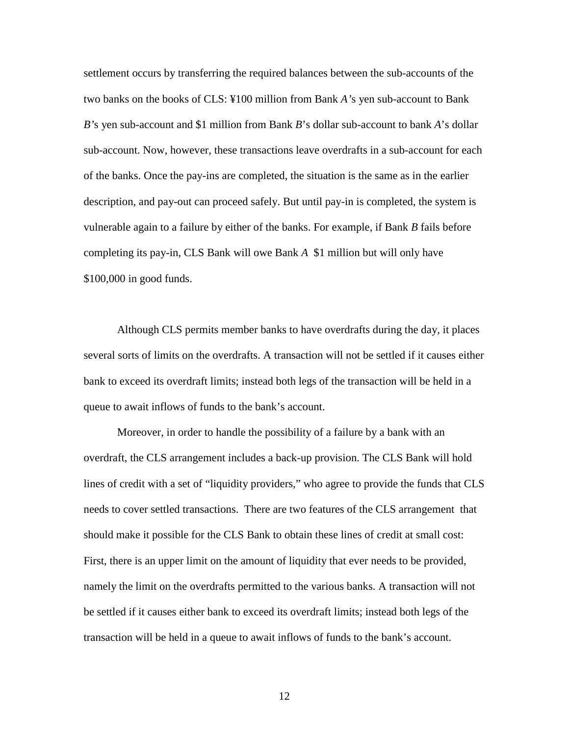settlement occurs by transferring the required balances between the sub-accounts of the two banks on the books of CLS: ¥100 million from Bank *A'*s yen sub-account to Bank *B'*s yen sub-account and \$1 million from Bank *B*'s dollar sub-account to bank *A*'s dollar sub-account. Now, however, these transactions leave overdrafts in a sub-account for each of the banks. Once the pay-ins are completed, the situation is the same as in the earlier description, and pay-out can proceed safely. But until pay-in is completed, the system is vulnerable again to a failure by either of the banks. For example, if Bank *B* fails before completing its pay-in, CLS Bank will owe Bank *A* \$1 million but will only have \$100,000 in good funds.

Although CLS permits member banks to have overdrafts during the day, it places several sorts of limits on the overdrafts. A transaction will not be settled if it causes either bank to exceed its overdraft limits; instead both legs of the transaction will be held in a queue to await inflows of funds to the bank's account.

Moreover, in order to handle the possibility of a failure by a bank with an overdraft, the CLS arrangement includes a back-up provision. The CLS Bank will hold lines of credit with a set of "liquidity providers," who agree to provide the funds that CLS needs to cover settled transactions. There are two features of the CLS arrangement that should make it possible for the CLS Bank to obtain these lines of credit at small cost: First, there is an upper limit on the amount of liquidity that ever needs to be provided, namely the limit on the overdrafts permitted to the various banks. A transaction will not be settled if it causes either bank to exceed its overdraft limits; instead both legs of the transaction will be held in a queue to await inflows of funds to the bank's account.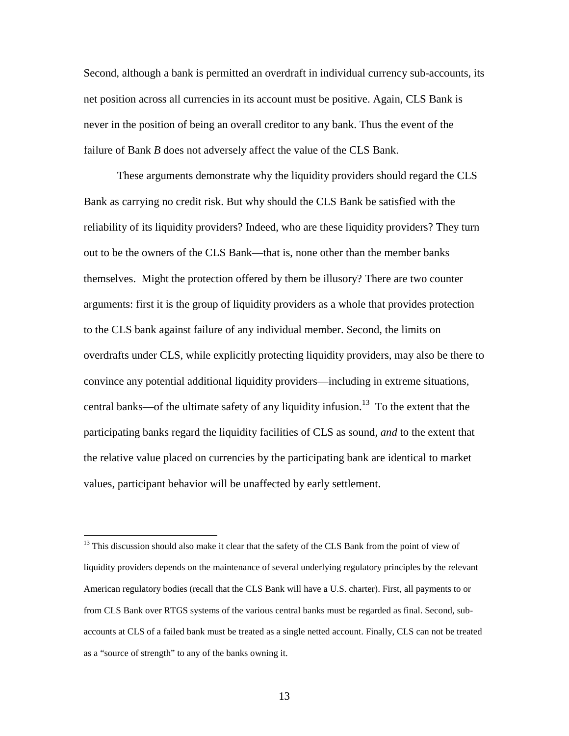Second, although a bank is permitted an overdraft in individual currency sub-accounts, its net position across all currencies in its account must be positive. Again, CLS Bank is never in the position of being an overall creditor to any bank. Thus the event of the failure of Bank *B* does not adversely affect the value of the CLS Bank.

These arguments demonstrate why the liquidity providers should regard the CLS Bank as carrying no credit risk. But why should the CLS Bank be satisfied with the reliability of its liquidity providers? Indeed, who are these liquidity providers? They turn out to be the owners of the CLS Bank—that is, none other than the member banks themselves. Might the protection offered by them be illusory? There are two counter arguments: first it is the group of liquidity providers as a whole that provides protection to the CLS bank against failure of any individual member. Second, the limits on overdrafts under CLS, while explicitly protecting liquidity providers, may also be there to convince any potential additional liquidity providers—including in extreme situations, central banks—of the ultimate safety of any liquidity infusion.<sup>13</sup> To the extent that the participating banks regard the liquidity facilities of CLS as sound, *and* to the extent that the relative value placed on currencies by the participating bank are identical to market values, participant behavior will be unaffected by early settlement.

<sup>&</sup>lt;sup>13</sup> This discussion should also make it clear that the safety of the CLS Bank from the point of view of liquidity providers depends on the maintenance of several underlying regulatory principles by the relevant American regulatory bodies (recall that the CLS Bank will have a U.S. charter). First, all payments to or from CLS Bank over RTGS systems of the various central banks must be regarded as final. Second, subaccounts at CLS of a failed bank must be treated as a single netted account. Finally, CLS can not be treated as a "source of strength" to any of the banks owning it.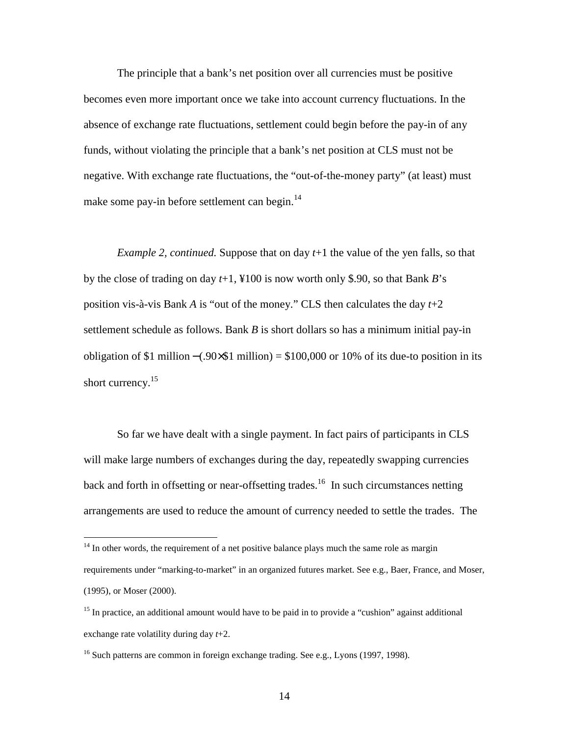The principle that a bank's net position over all currencies must be positive becomes even more important once we take into account currency fluctuations. In the absence of exchange rate fluctuations, settlement could begin before the pay-in of any funds, without violating the principle that a bank's net position at CLS must not be negative. With exchange rate fluctuations, the "out-of-the-money party" (at least) must make some pay-in before settlement can begin.<sup>14</sup>

*Example 2, continued.* Suppose that on day *t*+1 the value of the yen falls, so that by the close of trading on day *t*+1, ¥100 is now worth only \$.90, so that Bank *B*'s position vis-à-vis Bank *A* is "out of the money." CLS then calculates the day *t*+2 settlement schedule as follows. Bank *B* is short dollars so has a minimum initial pay-in obligation of \$1 million –  $(.90 \times $1$  million) = \$100,000 or 10% of its due-to position in its short currency.<sup>15</sup>

So far we have dealt with a single payment. In fact pairs of participants in CLS will make large numbers of exchanges during the day, repeatedly swapping currencies back and forth in offsetting or near-offsetting trades.<sup>16</sup> In such circumstances netting arrangements are used to reduce the amount of currency needed to settle the trades. The

<sup>&</sup>lt;sup>14</sup> In other words, the requirement of a net positive balance plays much the same role as margin requirements under "marking-to-market" in an organized futures market. See e.g., Baer, France, and Moser, (1995), or Moser (2000).

 $15$  In practice, an additional amount would have to be paid in to provide a "cushion" against additional exchange rate volatility during day *t*+2.

<sup>&</sup>lt;sup>16</sup> Such patterns are common in foreign exchange trading. See e.g., Lyons (1997, 1998).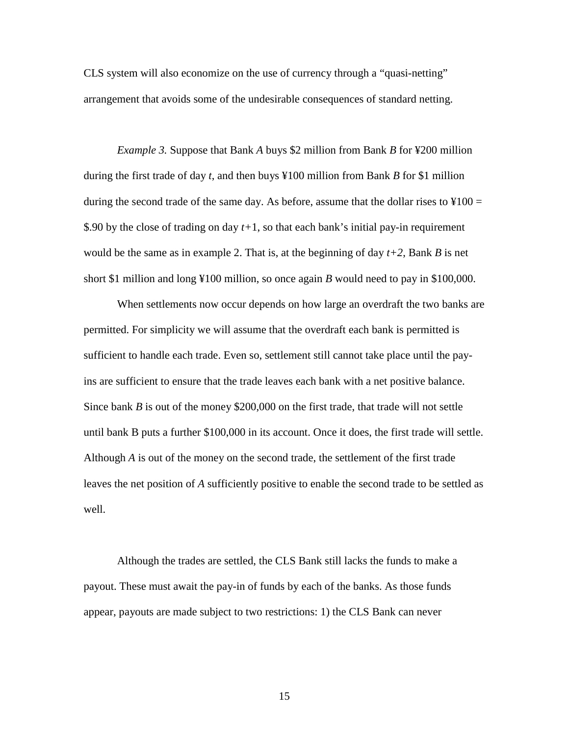CLS system will also economize on the use of currency through a "quasi-netting" arrangement that avoids some of the undesirable consequences of standard netting.

*Example 3.* Suppose that Bank *A* buys \$2 million from Bank *B* for ¥200 million during the first trade of day *t*, and then buys ¥100 million from Bank *B* for \$1 million during the second trade of the same day. As before, assume that the dollar rises to  $\text{\textless}100 =$ \$.90 by the close of trading on day *t+*1, so that each bank's initial pay-in requirement would be the same as in example 2. That is, at the beginning of day  $t+2$ , Bank *B* is net short \$1 million and long ¥100 million, so once again *B* would need to pay in \$100,000.

When settlements now occur depends on how large an overdraft the two banks are permitted. For simplicity we will assume that the overdraft each bank is permitted is sufficient to handle each trade. Even so, settlement still cannot take place until the payins are sufficient to ensure that the trade leaves each bank with a net positive balance. Since bank *B* is out of the money \$200,000 on the first trade, that trade will not settle until bank B puts a further \$100,000 in its account. Once it does, the first trade will settle. Although *A* is out of the money on the second trade, the settlement of the first trade leaves the net position of *A* sufficiently positive to enable the second trade to be settled as well.

Although the trades are settled, the CLS Bank still lacks the funds to make a payout. These must await the pay-in of funds by each of the banks. As those funds appear, payouts are made subject to two restrictions: 1) the CLS Bank can never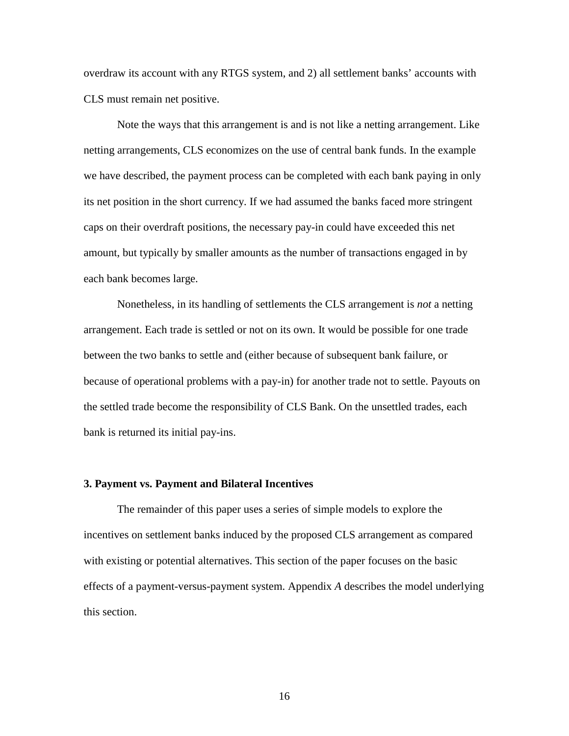overdraw its account with any RTGS system, and 2) all settlement banks' accounts with CLS must remain net positive.

Note the ways that this arrangement is and is not like a netting arrangement. Like netting arrangements, CLS economizes on the use of central bank funds. In the example we have described, the payment process can be completed with each bank paying in only its net position in the short currency. If we had assumed the banks faced more stringent caps on their overdraft positions, the necessary pay-in could have exceeded this net amount, but typically by smaller amounts as the number of transactions engaged in by each bank becomes large.

Nonetheless, in its handling of settlements the CLS arrangement is *not* a netting arrangement. Each trade is settled or not on its own. It would be possible for one trade between the two banks to settle and (either because of subsequent bank failure, or because of operational problems with a pay-in) for another trade not to settle. Payouts on the settled trade become the responsibility of CLS Bank. On the unsettled trades, each bank is returned its initial pay-ins.

#### **3. Payment vs. Payment and Bilateral Incentives**

The remainder of this paper uses a series of simple models to explore the incentives on settlement banks induced by the proposed CLS arrangement as compared with existing or potential alternatives. This section of the paper focuses on the basic effects of a payment-versus-payment system. Appendix *A* describes the model underlying this section.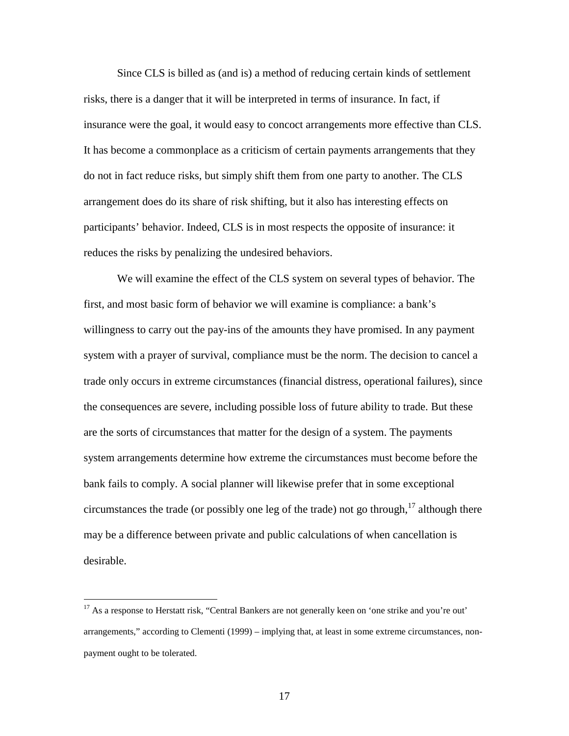Since CLS is billed as (and is) a method of reducing certain kinds of settlement risks, there is a danger that it will be interpreted in terms of insurance. In fact, if insurance were the goal, it would easy to concoct arrangements more effective than CLS. It has become a commonplace as a criticism of certain payments arrangements that they do not in fact reduce risks, but simply shift them from one party to another. The CLS arrangement does do its share of risk shifting, but it also has interesting effects on participants' behavior. Indeed, CLS is in most respects the opposite of insurance: it reduces the risks by penalizing the undesired behaviors.

We will examine the effect of the CLS system on several types of behavior. The first, and most basic form of behavior we will examine is compliance: a bank's willingness to carry out the pay-ins of the amounts they have promised. In any payment system with a prayer of survival, compliance must be the norm. The decision to cancel a trade only occurs in extreme circumstances (financial distress, operational failures), since the consequences are severe, including possible loss of future ability to trade. But these are the sorts of circumstances that matter for the design of a system. The payments system arrangements determine how extreme the circumstances must become before the bank fails to comply. A social planner will likewise prefer that in some exceptional circumstances the trade (or possibly one leg of the trade) not go through,  $17$  although there may be a difference between private and public calculations of when cancellation is desirable.

 $17$  As a response to Herstatt risk, "Central Bankers are not generally keen on 'one strike and you're out' arrangements," according to Clementi (1999) – implying that, at least in some extreme circumstances, nonpayment ought to be tolerated.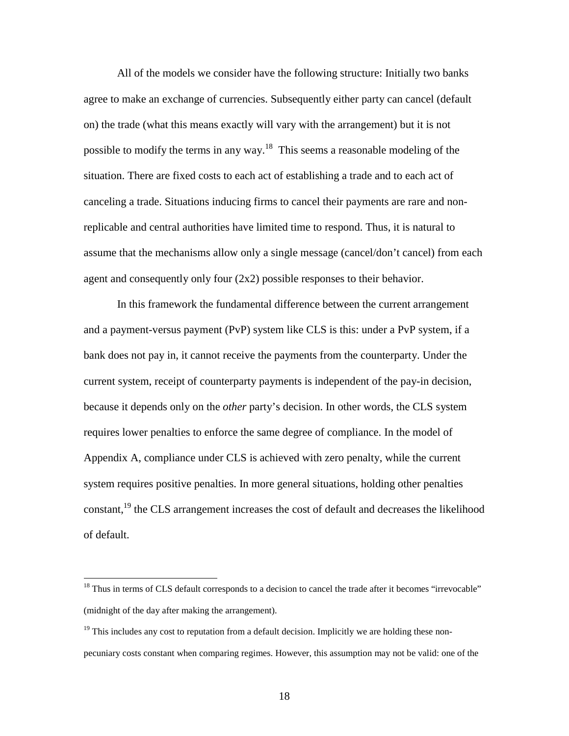All of the models we consider have the following structure: Initially two banks agree to make an exchange of currencies. Subsequently either party can cancel (default on) the trade (what this means exactly will vary with the arrangement) but it is not possible to modify the terms in any way.<sup>18</sup> This seems a reasonable modeling of the situation. There are fixed costs to each act of establishing a trade and to each act of canceling a trade. Situations inducing firms to cancel their payments are rare and nonreplicable and central authorities have limited time to respond. Thus, it is natural to assume that the mechanisms allow only a single message (cancel/don't cancel) from each agent and consequently only four (2x2) possible responses to their behavior.

In this framework the fundamental difference between the current arrangement and a payment-versus payment (PvP) system like CLS is this: under a PvP system, if a bank does not pay in, it cannot receive the payments from the counterparty. Under the current system, receipt of counterparty payments is independent of the pay-in decision, because it depends only on the *other* party's decision. In other words, the CLS system requires lower penalties to enforce the same degree of compliance. In the model of Appendix A, compliance under CLS is achieved with zero penalty, while the current system requires positive penalties. In more general situations, holding other penalties constant, $19$  the CLS arrangement increases the cost of default and decreases the likelihood of default.

 $18$  Thus in terms of CLS default corresponds to a decision to cancel the trade after it becomes "irrevocable" (midnight of the day after making the arrangement).

 $<sup>19</sup>$  This includes any cost to reputation from a default decision. Implicitly we are holding these non-</sup> pecuniary costs constant when comparing regimes. However, this assumption may not be valid: one of the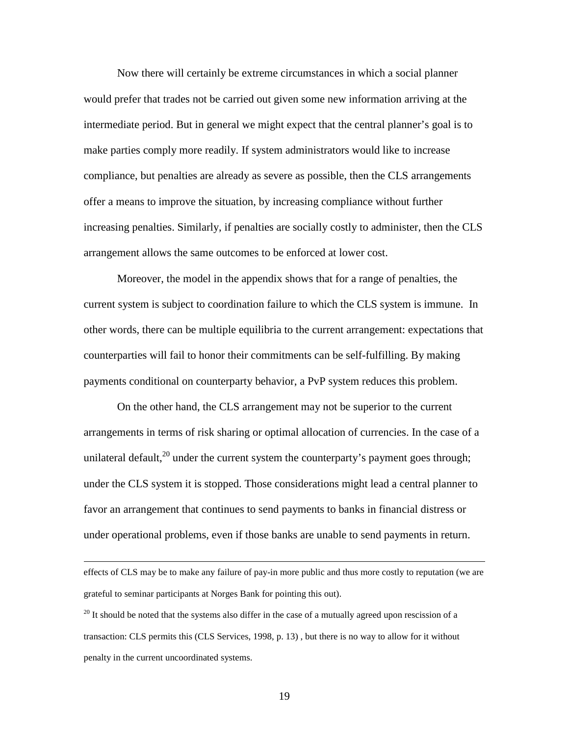Now there will certainly be extreme circumstances in which a social planner would prefer that trades not be carried out given some new information arriving at the intermediate period. But in general we might expect that the central planner's goal is to make parties comply more readily. If system administrators would like to increase compliance, but penalties are already as severe as possible, then the CLS arrangements offer a means to improve the situation, by increasing compliance without further increasing penalties. Similarly, if penalties are socially costly to administer, then the CLS arrangement allows the same outcomes to be enforced at lower cost.

Moreover, the model in the appendix shows that for a range of penalties, the current system is subject to coordination failure to which the CLS system is immune. In other words, there can be multiple equilibria to the current arrangement: expectations that counterparties will fail to honor their commitments can be self-fulfilling. By making payments conditional on counterparty behavior, a PvP system reduces this problem.

On the other hand, the CLS arrangement may not be superior to the current arrangements in terms of risk sharing or optimal allocation of currencies. In the case of a unilateral default, $^{20}$  under the current system the counterparty's payment goes through; under the CLS system it is stopped. Those considerations might lead a central planner to favor an arrangement that continues to send payments to banks in financial distress or under operational problems, even if those banks are unable to send payments in return.

 effects of CLS may be to make any failure of pay-in more public and thus more costly to reputation (we are grateful to seminar participants at Norges Bank for pointing this out).

 $^{20}$  It should be noted that the systems also differ in the case of a mutually agreed upon rescission of a transaction: CLS permits this (CLS Services, 1998, p. 13) , but there is no way to allow for it without penalty in the current uncoordinated systems.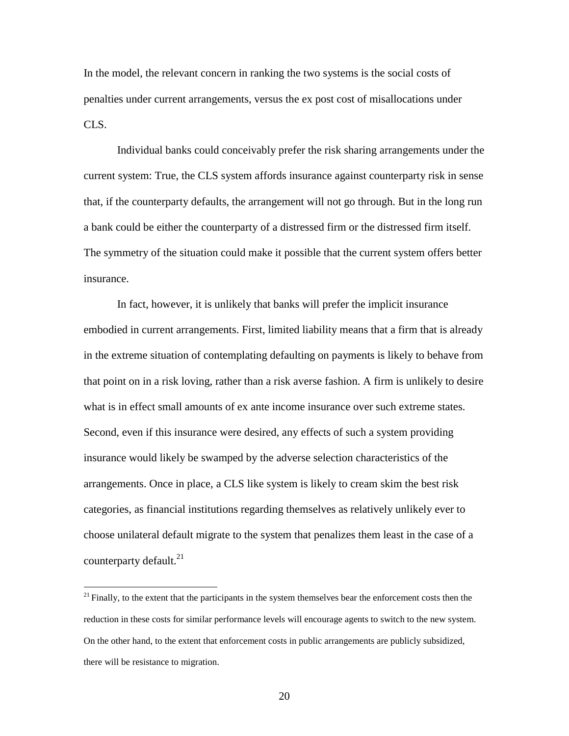In the model, the relevant concern in ranking the two systems is the social costs of penalties under current arrangements, versus the ex post cost of misallocations under CLS.

Individual banks could conceivably prefer the risk sharing arrangements under the current system: True, the CLS system affords insurance against counterparty risk in sense that, if the counterparty defaults, the arrangement will not go through. But in the long run a bank could be either the counterparty of a distressed firm or the distressed firm itself. The symmetry of the situation could make it possible that the current system offers better insurance.

In fact, however, it is unlikely that banks will prefer the implicit insurance embodied in current arrangements. First, limited liability means that a firm that is already in the extreme situation of contemplating defaulting on payments is likely to behave from that point on in a risk loving, rather than a risk averse fashion. A firm is unlikely to desire what is in effect small amounts of ex ante income insurance over such extreme states. Second, even if this insurance were desired, any effects of such a system providing insurance would likely be swamped by the adverse selection characteristics of the arrangements. Once in place, a CLS like system is likely to cream skim the best risk categories, as financial institutions regarding themselves as relatively unlikely ever to choose unilateral default migrate to the system that penalizes them least in the case of a counterparty default. $^{21}$ 

 $^{21}$  Finally, to the extent that the participants in the system themselves bear the enforcement costs then the reduction in these costs for similar performance levels will encourage agents to switch to the new system. On the other hand, to the extent that enforcement costs in public arrangements are publicly subsidized, there will be resistance to migration.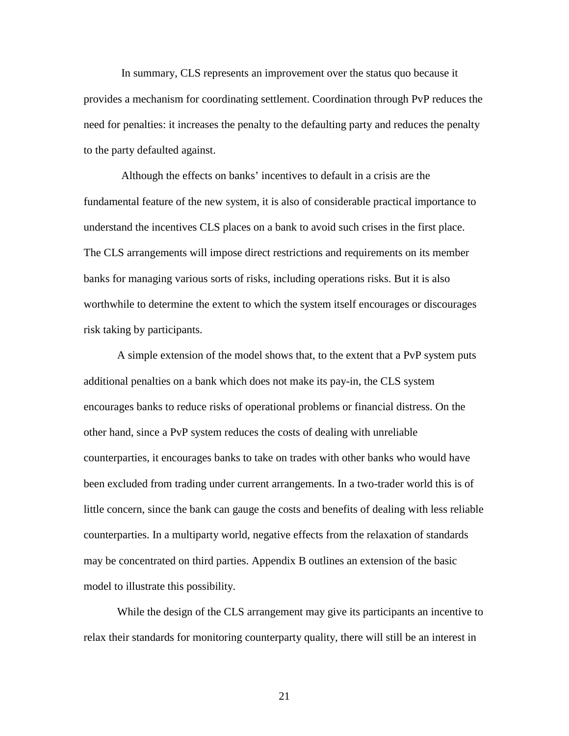In summary, CLS represents an improvement over the status quo because it provides a mechanism for coordinating settlement. Coordination through PvP reduces the need for penalties: it increases the penalty to the defaulting party and reduces the penalty to the party defaulted against.

Although the effects on banks' incentives to default in a crisis are the fundamental feature of the new system, it is also of considerable practical importance to understand the incentives CLS places on a bank to avoid such crises in the first place. The CLS arrangements will impose direct restrictions and requirements on its member banks for managing various sorts of risks, including operations risks. But it is also worthwhile to determine the extent to which the system itself encourages or discourages risk taking by participants.

A simple extension of the model shows that, to the extent that a PvP system puts additional penalties on a bank which does not make its pay-in, the CLS system encourages banks to reduce risks of operational problems or financial distress. On the other hand, since a PvP system reduces the costs of dealing with unreliable counterparties, it encourages banks to take on trades with other banks who would have been excluded from trading under current arrangements. In a two-trader world this is of little concern, since the bank can gauge the costs and benefits of dealing with less reliable counterparties. In a multiparty world, negative effects from the relaxation of standards may be concentrated on third parties. Appendix B outlines an extension of the basic model to illustrate this possibility.

While the design of the CLS arrangement may give its participants an incentive to relax their standards for monitoring counterparty quality, there will still be an interest in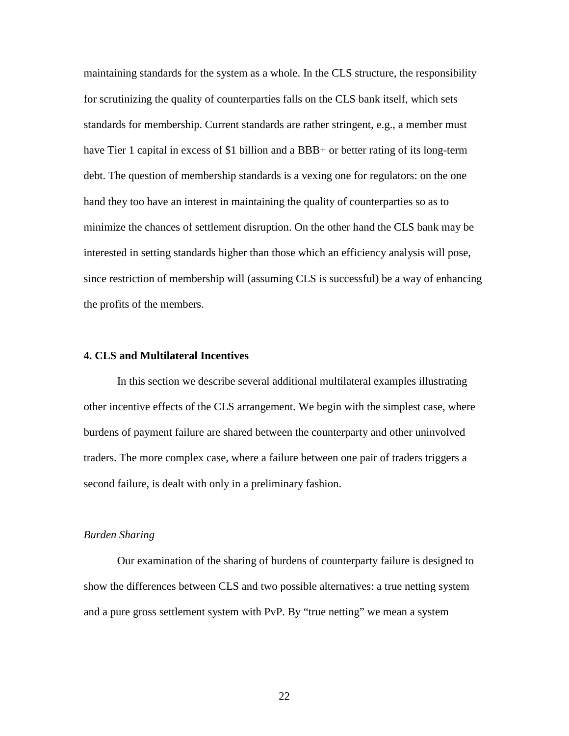maintaining standards for the system as a whole. In the CLS structure, the responsibility for scrutinizing the quality of counterparties falls on the CLS bank itself, which sets standards for membership. Current standards are rather stringent, e.g., a member must have Tier 1 capital in excess of \$1 billion and a BBB+ or better rating of its long-term debt. The question of membership standards is a vexing one for regulators: on the one hand they too have an interest in maintaining the quality of counterparties so as to minimize the chances of settlement disruption. On the other hand the CLS bank may be interested in setting standards higher than those which an efficiency analysis will pose, since restriction of membership will (assuming CLS is successful) be a way of enhancing the profits of the members.

#### **4. CLS and Multilateral Incentives**

In this section we describe several additional multilateral examples illustrating other incentive effects of the CLS arrangement. We begin with the simplest case, where burdens of payment failure are shared between the counterparty and other uninvolved traders. The more complex case, where a failure between one pair of traders triggers a second failure, is dealt with only in a preliminary fashion.

#### *Burden Sharing*

Our examination of the sharing of burdens of counterparty failure is designed to show the differences between CLS and two possible alternatives: a true netting system and a pure gross settlement system with PvP. By "true netting" we mean a system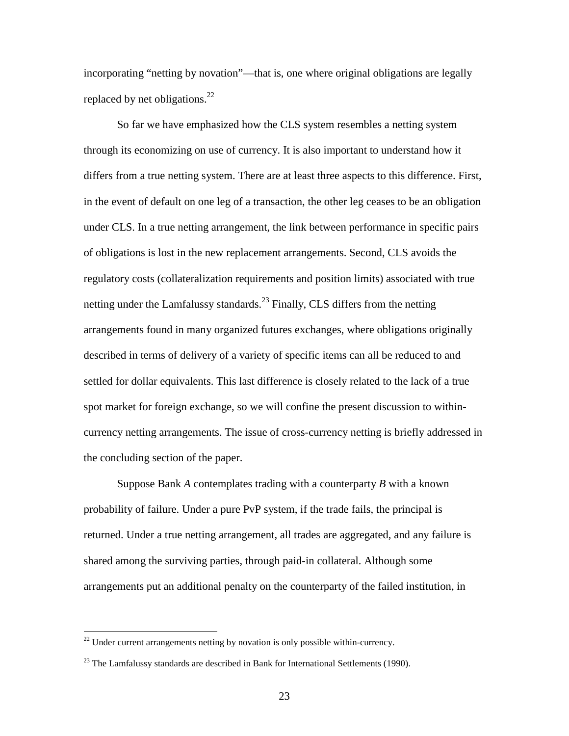incorporating "netting by novation"—that is, one where original obligations are legally replaced by net obligations. $^{22}$ 

So far we have emphasized how the CLS system resembles a netting system through its economizing on use of currency. It is also important to understand how it differs from a true netting system. There are at least three aspects to this difference. First, in the event of default on one leg of a transaction, the other leg ceases to be an obligation under CLS. In a true netting arrangement, the link between performance in specific pairs of obligations is lost in the new replacement arrangements. Second, CLS avoids the regulatory costs (collateralization requirements and position limits) associated with true netting under the Lamfalussy standards.<sup>23</sup> Finally, CLS differs from the netting arrangements found in many organized futures exchanges, where obligations originally described in terms of delivery of a variety of specific items can all be reduced to and settled for dollar equivalents. This last difference is closely related to the lack of a true spot market for foreign exchange, so we will confine the present discussion to withincurrency netting arrangements. The issue of cross-currency netting is briefly addressed in the concluding section of the paper.

Suppose Bank *A* contemplates trading with a counterparty *B* with a known probability of failure. Under a pure PvP system, if the trade fails, the principal is returned. Under a true netting arrangement, all trades are aggregated, and any failure is shared among the surviving parties, through paid-in collateral. Although some arrangements put an additional penalty on the counterparty of the failed institution, in

 $22$  Under current arrangements netting by novation is only possible within-currency.

 $23$  The Lamfalussy standards are described in Bank for International Settlements (1990).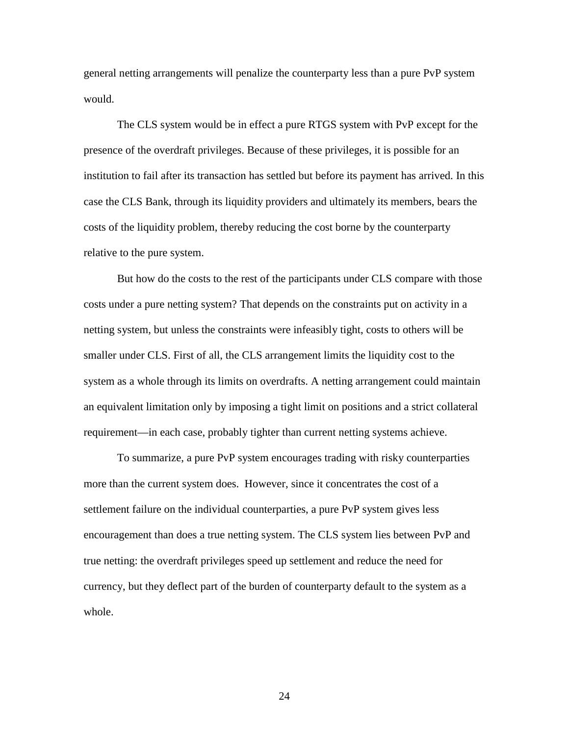general netting arrangements will penalize the counterparty less than a pure PvP system would.

The CLS system would be in effect a pure RTGS system with PvP except for the presence of the overdraft privileges. Because of these privileges, it is possible for an institution to fail after its transaction has settled but before its payment has arrived. In this case the CLS Bank, through its liquidity providers and ultimately its members, bears the costs of the liquidity problem, thereby reducing the cost borne by the counterparty relative to the pure system.

But how do the costs to the rest of the participants under CLS compare with those costs under a pure netting system? That depends on the constraints put on activity in a netting system, but unless the constraints were infeasibly tight, costs to others will be smaller under CLS. First of all, the CLS arrangement limits the liquidity cost to the system as a whole through its limits on overdrafts. A netting arrangement could maintain an equivalent limitation only by imposing a tight limit on positions and a strict collateral requirement—in each case, probably tighter than current netting systems achieve.

To summarize, a pure PvP system encourages trading with risky counterparties more than the current system does. However, since it concentrates the cost of a settlement failure on the individual counterparties, a pure PvP system gives less encouragement than does a true netting system. The CLS system lies between PvP and true netting: the overdraft privileges speed up settlement and reduce the need for currency, but they deflect part of the burden of counterparty default to the system as a whole.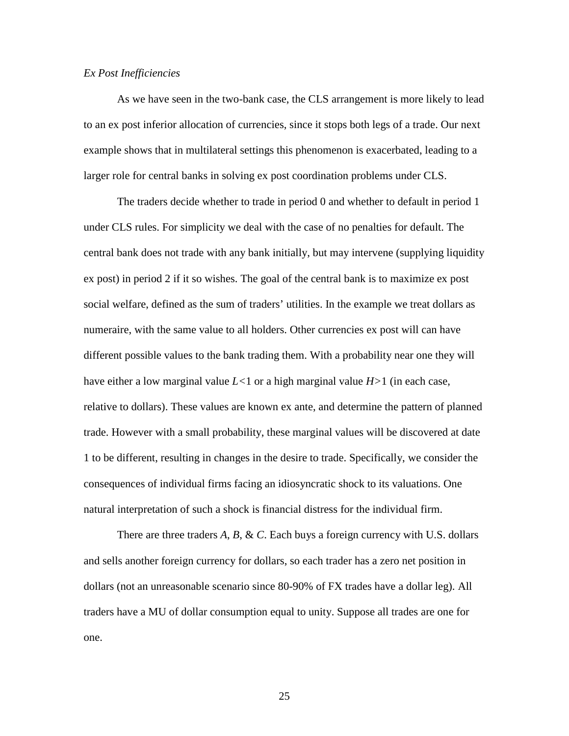#### *Ex Post Inefficiencies*

As we have seen in the two-bank case, the CLS arrangement is more likely to lead to an ex post inferior allocation of currencies, since it stops both legs of a trade. Our next example shows that in multilateral settings this phenomenon is exacerbated, leading to a larger role for central banks in solving ex post coordination problems under CLS.

The traders decide whether to trade in period 0 and whether to default in period 1 under CLS rules. For simplicity we deal with the case of no penalties for default. The central bank does not trade with any bank initially, but may intervene (supplying liquidity ex post) in period 2 if it so wishes. The goal of the central bank is to maximize ex post social welfare, defined as the sum of traders' utilities. In the example we treat dollars as numeraire, with the same value to all holders. Other currencies ex post will can have different possible values to the bank trading them. With a probability near one they will have either a low marginal value *L<*1 or a high marginal value *H>*1 (in each case, relative to dollars). These values are known ex ante, and determine the pattern of planned trade. However with a small probability, these marginal values will be discovered at date 1 to be different, resulting in changes in the desire to trade. Specifically, we consider the consequences of individual firms facing an idiosyncratic shock to its valuations. One natural interpretation of such a shock is financial distress for the individual firm.

There are three traders *A*, *B*, & *C*. Each buys a foreign currency with U.S. dollars and sells another foreign currency for dollars, so each trader has a zero net position in dollars (not an unreasonable scenario since 80-90% of FX trades have a dollar leg). All traders have a MU of dollar consumption equal to unity. Suppose all trades are one for one.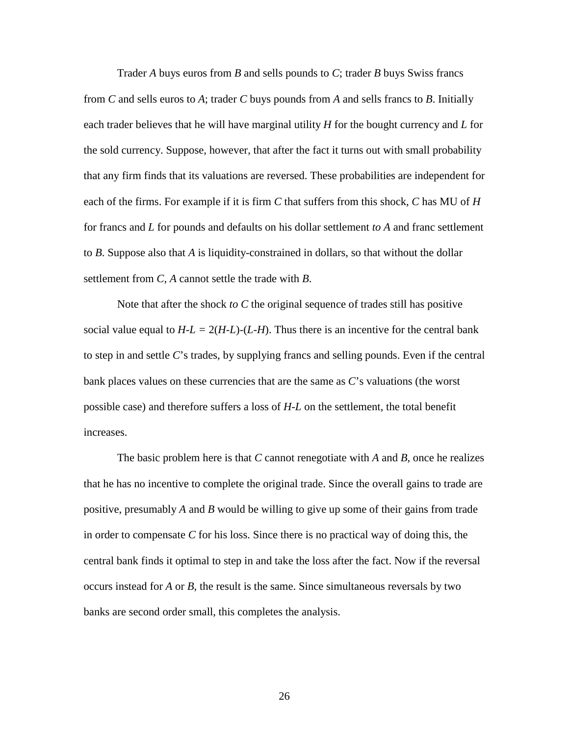Trader *A* buys euros from *B* and sells pounds to *C*; trader *B* buys Swiss francs from *C* and sells euros to *A*; trader *C* buys pounds from *A* and sells francs to *B*. Initially each trader believes that he will have marginal utility *H* for the bought currency and *L* for the sold currency. Suppose, however, that after the fact it turns out with small probability that any firm finds that its valuations are reversed. These probabilities are independent for each of the firms. For example if it is firm *C* that suffers from this shock, *C* has MU of *H* for francs and *L* for pounds and defaults on his dollar settlement *to A* and franc settlement to *B*. Suppose also that *A* is liquidity-constrained in dollars, so that without the dollar settlement from *C*, *A* cannot settle the trade with *B*.

Note that after the shock *to C* the original sequence of trades still has positive social value equal to  $H - L = 2(H - L) - (L - H)$ . Thus there is an incentive for the central bank to step in and settle *C*'s trades, by supplying francs and selling pounds. Even if the central bank places values on these currencies that are the same as *C*'s valuations (the worst possible case) and therefore suffers a loss of *H*-*L* on the settlement, the total benefit increases.

The basic problem here is that *C* cannot renegotiate with *A* and *B*, once he realizes that he has no incentive to complete the original trade. Since the overall gains to trade are positive, presumably *A* and *B* would be willing to give up some of their gains from trade in order to compensate *C* for his loss. Since there is no practical way of doing this, the central bank finds it optimal to step in and take the loss after the fact. Now if the reversal occurs instead for *A* or *B*, the result is the same. Since simultaneous reversals by two banks are second order small, this completes the analysis.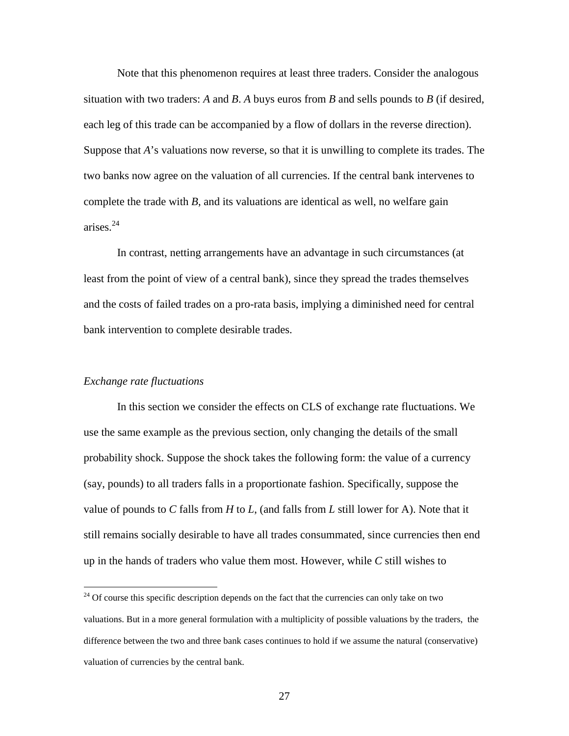Note that this phenomenon requires at least three traders. Consider the analogous situation with two traders: *A* and *B*. *A* buys euros from *B* and sells pounds to *B* (if desired, each leg of this trade can be accompanied by a flow of dollars in the reverse direction). Suppose that *A*'s valuations now reverse, so that it is unwilling to complete its trades. The two banks now agree on the valuation of all currencies. If the central bank intervenes to complete the trade with *B*, and its valuations are identical as well, no welfare gain arises.<sup>24</sup>

In contrast, netting arrangements have an advantage in such circumstances (at least from the point of view of a central bank), since they spread the trades themselves and the costs of failed trades on a pro-rata basis, implying a diminished need for central bank intervention to complete desirable trades.

#### *Exchange rate fluctuations*

 $\overline{a}$ 

In this section we consider the effects on CLS of exchange rate fluctuations. We use the same example as the previous section, only changing the details of the small probability shock. Suppose the shock takes the following form: the value of a currency (say, pounds) to all traders falls in a proportionate fashion. Specifically, suppose the value of pounds to *C* falls from *H* to *L*, (and falls from *L* still lower for A). Note that it still remains socially desirable to have all trades consummated, since currencies then end up in the hands of traders who value them most. However, while *C* still wishes to

 $24$  Of course this specific description depends on the fact that the currencies can only take on two valuations. But in a more general formulation with a multiplicity of possible valuations by the traders, the difference between the two and three bank cases continues to hold if we assume the natural (conservative) valuation of currencies by the central bank.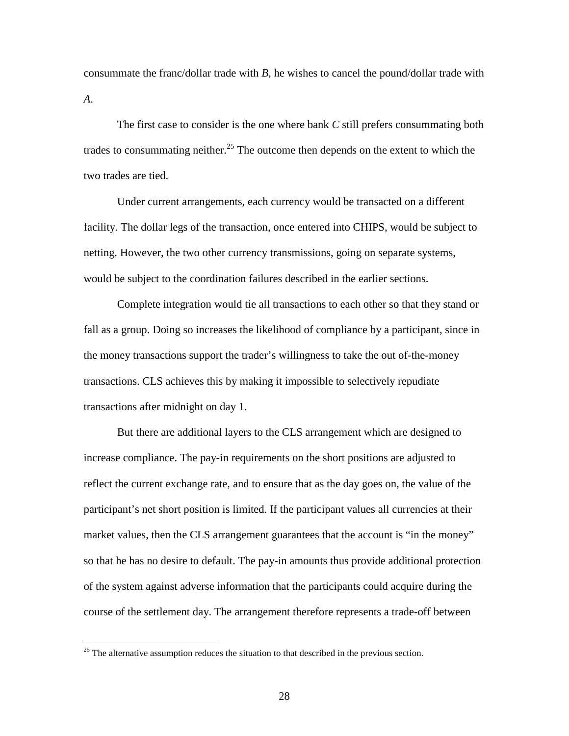consummate the franc/dollar trade with *B*, he wishes to cancel the pound/dollar trade with *A*.

The first case to consider is the one where bank *C* still prefers consummating both trades to consummating neither.<sup>25</sup> The outcome then depends on the extent to which the two trades are tied.

Under current arrangements, each currency would be transacted on a different facility. The dollar legs of the transaction, once entered into CHIPS, would be subject to netting. However, the two other currency transmissions, going on separate systems, would be subject to the coordination failures described in the earlier sections.

Complete integration would tie all transactions to each other so that they stand or fall as a group. Doing so increases the likelihood of compliance by a participant, since in the money transactions support the trader's willingness to take the out of-the-money transactions. CLS achieves this by making it impossible to selectively repudiate transactions after midnight on day 1.

But there are additional layers to the CLS arrangement which are designed to increase compliance. The pay-in requirements on the short positions are adjusted to reflect the current exchange rate, and to ensure that as the day goes on, the value of the participant's net short position is limited. If the participant values all currencies at their market values, then the CLS arrangement guarantees that the account is "in the money" so that he has no desire to default. The pay-in amounts thus provide additional protection of the system against adverse information that the participants could acquire during the course of the settlement day. The arrangement therefore represents a trade-off between

 $25$  The alternative assumption reduces the situation to that described in the previous section.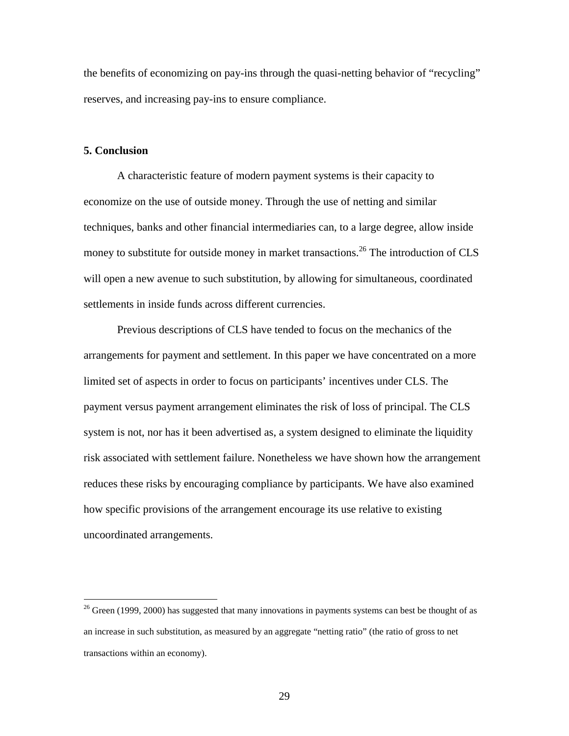the benefits of economizing on pay-ins through the quasi-netting behavior of "recycling" reserves, and increasing pay-ins to ensure compliance.

#### **5. Conclusion**

 $\overline{a}$ 

A characteristic feature of modern payment systems is their capacity to economize on the use of outside money. Through the use of netting and similar techniques, banks and other financial intermediaries can, to a large degree, allow inside money to substitute for outside money in market transactions.<sup>26</sup> The introduction of  $CLS$ will open a new avenue to such substitution, by allowing for simultaneous, coordinated settlements in inside funds across different currencies.

Previous descriptions of CLS have tended to focus on the mechanics of the arrangements for payment and settlement. In this paper we have concentrated on a more limited set of aspects in order to focus on participants' incentives under CLS. The payment versus payment arrangement eliminates the risk of loss of principal. The CLS system is not, nor has it been advertised as, a system designed to eliminate the liquidity risk associated with settlement failure. Nonetheless we have shown how the arrangement reduces these risks by encouraging compliance by participants. We have also examined how specific provisions of the arrangement encourage its use relative to existing uncoordinated arrangements.

 $^{26}$  Green (1999, 2000) has suggested that many innovations in payments systems can best be thought of as an increase in such substitution, as measured by an aggregate "netting ratio" (the ratio of gross to net transactions within an economy).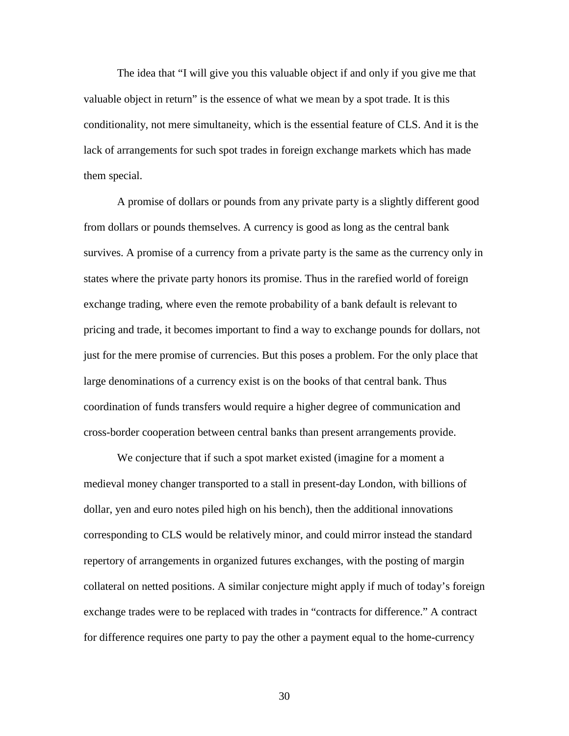The idea that "I will give you this valuable object if and only if you give me that valuable object in return" is the essence of what we mean by a spot trade. It is this conditionality, not mere simultaneity, which is the essential feature of CLS. And it is the lack of arrangements for such spot trades in foreign exchange markets which has made them special.

A promise of dollars or pounds from any private party is a slightly different good from dollars or pounds themselves. A currency is good as long as the central bank survives. A promise of a currency from a private party is the same as the currency only in states where the private party honors its promise. Thus in the rarefied world of foreign exchange trading, where even the remote probability of a bank default is relevant to pricing and trade, it becomes important to find a way to exchange pounds for dollars, not just for the mere promise of currencies. But this poses a problem. For the only place that large denominations of a currency exist is on the books of that central bank. Thus coordination of funds transfers would require a higher degree of communication and cross-border cooperation between central banks than present arrangements provide.

We conjecture that if such a spot market existed (imagine for a moment a medieval money changer transported to a stall in present-day London, with billions of dollar, yen and euro notes piled high on his bench), then the additional innovations corresponding to CLS would be relatively minor, and could mirror instead the standard repertory of arrangements in organized futures exchanges, with the posting of margin collateral on netted positions. A similar conjecture might apply if much of today's foreign exchange trades were to be replaced with trades in "contracts for difference." A contract for difference requires one party to pay the other a payment equal to the home-currency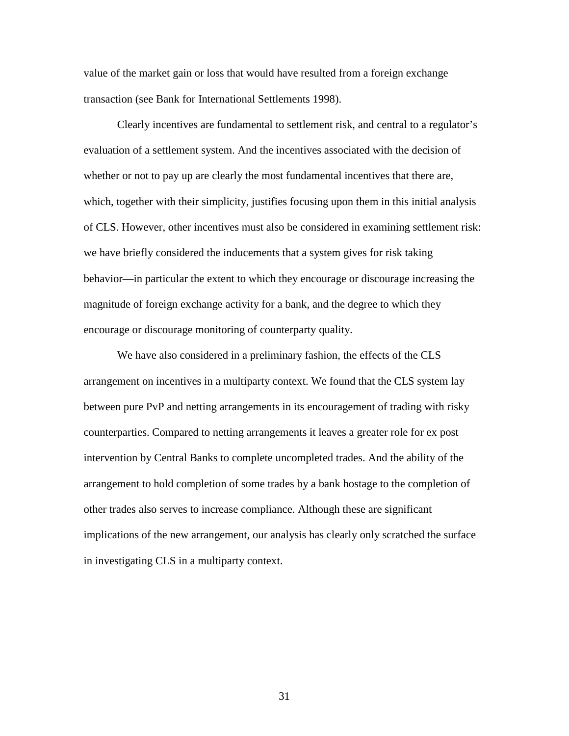value of the market gain or loss that would have resulted from a foreign exchange transaction (see Bank for International Settlements 1998).

Clearly incentives are fundamental to settlement risk, and central to a regulator's evaluation of a settlement system. And the incentives associated with the decision of whether or not to pay up are clearly the most fundamental incentives that there are, which, together with their simplicity, justifies focusing upon them in this initial analysis of CLS. However, other incentives must also be considered in examining settlement risk: we have briefly considered the inducements that a system gives for risk taking behavior—in particular the extent to which they encourage or discourage increasing the magnitude of foreign exchange activity for a bank, and the degree to which they encourage or discourage monitoring of counterparty quality.

We have also considered in a preliminary fashion, the effects of the CLS arrangement on incentives in a multiparty context. We found that the CLS system lay between pure PvP and netting arrangements in its encouragement of trading with risky counterparties. Compared to netting arrangements it leaves a greater role for ex post intervention by Central Banks to complete uncompleted trades. And the ability of the arrangement to hold completion of some trades by a bank hostage to the completion of other trades also serves to increase compliance. Although these are significant implications of the new arrangement, our analysis has clearly only scratched the surface in investigating CLS in a multiparty context.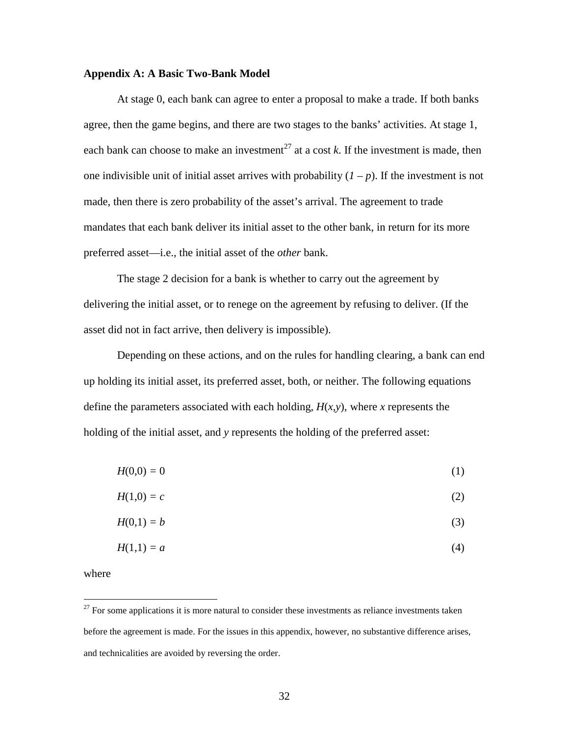#### **Appendix A: A Basic Two-Bank Model**

At stage 0, each bank can agree to enter a proposal to make a trade. If both banks agree, then the game begins, and there are two stages to the banks' activities. At stage 1, each bank can choose to make an investment<sup>27</sup> at a cost *k*. If the investment is made, then one indivisible unit of initial asset arrives with probability  $(1 - p)$ . If the investment is not made, then there is zero probability of the asset's arrival. The agreement to trade mandates that each bank deliver its initial asset to the other bank, in return for its more preferred asset—i.e., the initial asset of the *other* bank.

The stage 2 decision for a bank is whether to carry out the agreement by delivering the initial asset, or to renege on the agreement by refusing to deliver. (If the asset did not in fact arrive, then delivery is impossible).

Depending on these actions, and on the rules for handling clearing, a bank can end up holding its initial asset, its preferred asset, both, or neither. The following equations define the parameters associated with each holding,  $H(x, y)$ , where *x* represents the holding of the initial asset, and *y* represents the holding of the preferred asset:

 $H(0,0) = 0$  (1)

$$
H(1,0) = c \tag{2}
$$

$$
H(0,1) = b \tag{3}
$$

$$
H(1,1) = a \tag{4}
$$

where

 $27$  For some applications it is more natural to consider these investments as reliance investments taken before the agreement is made. For the issues in this appendix, however, no substantive difference arises, and technicalities are avoided by reversing the order.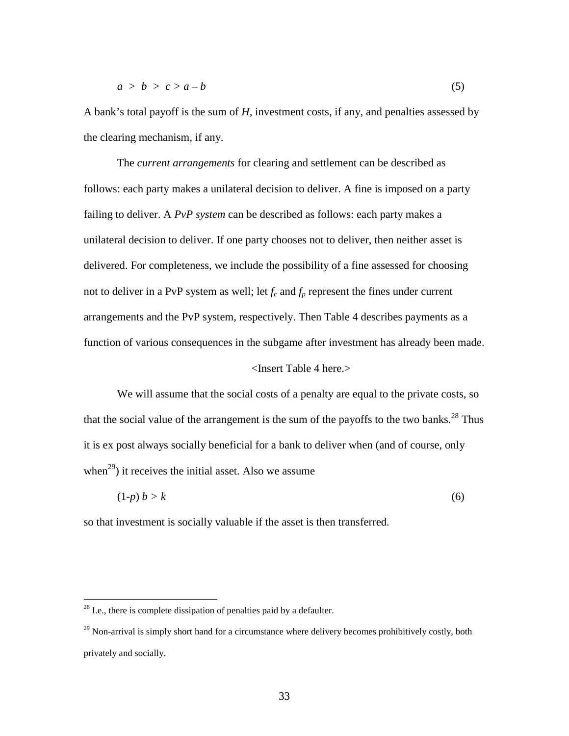$$
a > b > c > a - b \tag{5}
$$

A bank's total payoff is the sum of *H*, investment costs, if any, and penalties assessed by the clearing mechanism, if any.

The *current arrangements* for clearing and settlement can be described as follows: each party makes a unilateral decision to deliver. A fine is imposed on a party failing to deliver. A *PvP system* can be described as follows: each party makes a unilateral decision to deliver. If one party chooses not to deliver, then neither asset is delivered. For completeness, we include the possibility of a fine assessed for choosing not to deliver in a PvP system as well; let  $f_c$  and  $f_p$  represent the fines under current arrangements and the PvP system, respectively. Then Table 4 describes payments as a function of various consequences in the subgame after investment has already been made.

#### <Insert Table 4 here.>

We will assume that the social costs of a penalty are equal to the private costs, so that the social value of the arrangement is the sum of the payoffs to the two banks.<sup>28</sup> Thus it is ex post always socially beneficial for a bank to deliver when (and of course, only when<sup>29</sup>) it receives the initial asset. Also we assume

$$
(1-p) b > k \tag{6}
$$

so that investment is socially valuable if the asset is then transferred.

 $^{28}$  I.e., there is complete dissipation of penalties paid by a defaulter.

<sup>&</sup>lt;sup>29</sup> Non-arrival is simply short hand for a circumstance where delivery becomes prohibitively costly, both privately and socially.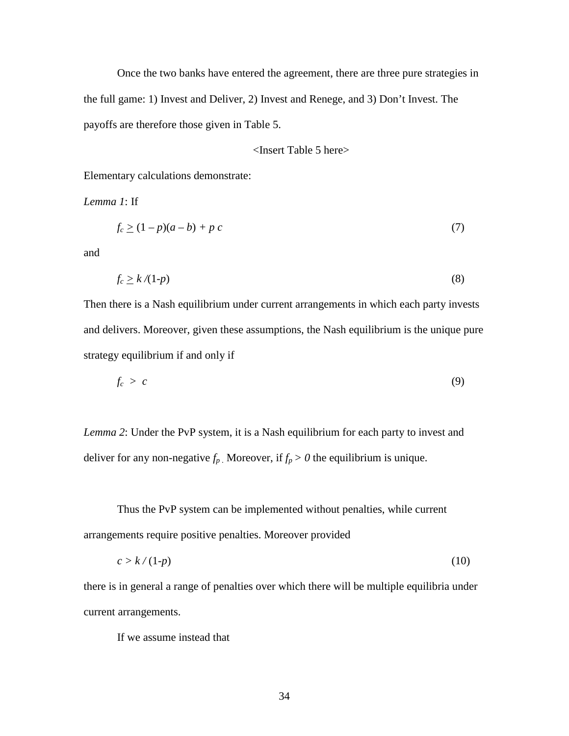Once the two banks have entered the agreement, there are three pure strategies in the full game: 1) Invest and Deliver, 2) Invest and Renege, and 3) Don't Invest. The payoffs are therefore those given in Table 5.

#### <Insert Table 5 here>

Elementary calculations demonstrate:

*Lemma 1*: If

$$
f_c \ge (1 - p)(a - b) + p c \tag{7}
$$

and

$$
f_c \ge k/(1-p) \tag{8}
$$

Then there is a Nash equilibrium under current arrangements in which each party invests and delivers. Moreover, given these assumptions, the Nash equilibrium is the unique pure strategy equilibrium if and only if

$$
f_c > c \tag{9}
$$

*Lemma 2*: Under the PvP system, it is a Nash equilibrium for each party to invest and deliver for any non-negative  $f_p$ . Moreover, if  $f_p > 0$  the equilibrium is unique.

Thus the PvP system can be implemented without penalties, while current arrangements require positive penalties. Moreover provided

$$
c > k/(1-p) \tag{10}
$$

there is in general a range of penalties over which there will be multiple equilibria under current arrangements.

If we assume instead that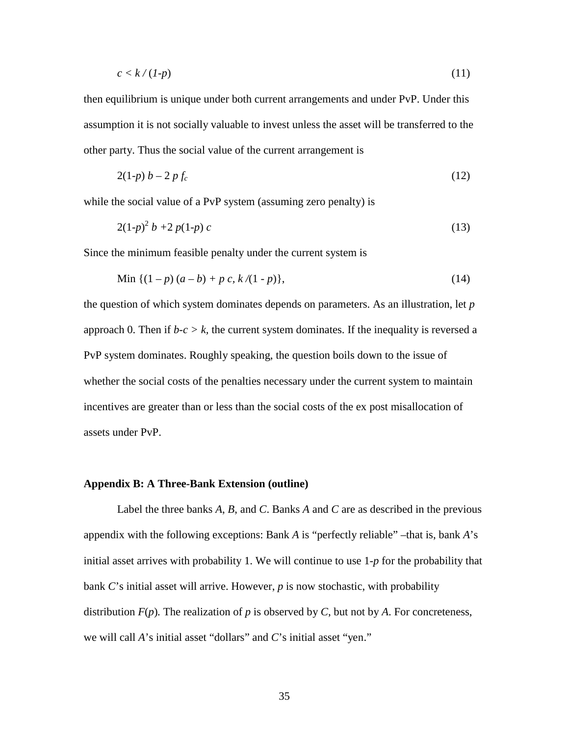$$
c < k \, (1-p) \tag{11}
$$

then equilibrium is unique under both current arrangements and under PvP. Under this assumption it is not socially valuable to invest unless the asset will be transferred to the other party. Thus the social value of the current arrangement is

$$
2(1-p) b - 2 p f_c \tag{12}
$$

while the social value of a PvP system (assuming zero penalty) is

$$
2(1-p)^2 b + 2 p(1-p) c \tag{13}
$$

Since the minimum feasible penalty under the current system is

Min 
$$
\{(1-p)(a-b)+p\ c, k/(1-p)\},
$$
 (14)

the question of which system dominates depends on parameters. As an illustration, let *p* approach 0. Then if  $b-c > k$ , the current system dominates. If the inequality is reversed a PvP system dominates. Roughly speaking, the question boils down to the issue of whether the social costs of the penalties necessary under the current system to maintain incentives are greater than or less than the social costs of the ex post misallocation of assets under PvP.

#### **Appendix B: A Three-Bank Extension (outline)**

Label the three banks *A*, *B*, and *C*. Banks *A* and *C* are as described in the previous appendix with the following exceptions: Bank *A* is "perfectly reliable" –that is, bank *A*'s initial asset arrives with probability 1. We will continue to use 1*-p* for the probability that bank *C*'s initial asset will arrive. However, *p* is now stochastic, with probability distribution  $F(p)$ . The realization of p is observed by C, but not by A. For concreteness, we will call *A*'s initial asset "dollars" and *C*'s initial asset "yen."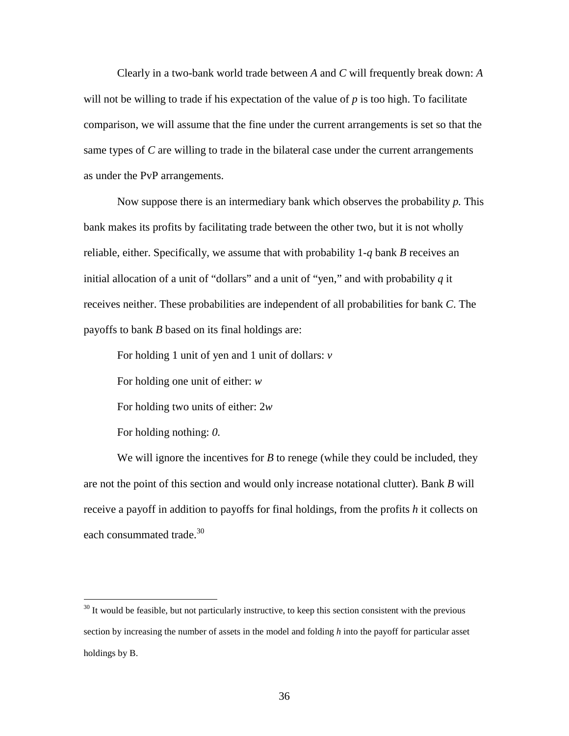Clearly in a two-bank world trade between *A* and *C* will frequently break down: *A* will not be willing to trade if his expectation of the value of p is too high. To facilitate comparison, we will assume that the fine under the current arrangements is set so that the same types of *C* are willing to trade in the bilateral case under the current arrangements as under the PvP arrangements.

Now suppose there is an intermediary bank which observes the probability *p.* This bank makes its profits by facilitating trade between the other two, but it is not wholly reliable, either. Specifically, we assume that with probability 1-*q* bank *B* receives an initial allocation of a unit of "dollars" and a unit of "yen," and with probability *q* it receives neither. These probabilities are independent of all probabilities for bank *C*. The payoffs to bank *B* based on its final holdings are:

For holding 1 unit of yen and 1 unit of dollars: *v*

For holding one unit of either: *w*

For holding two units of either: 2*w*

For holding nothing: *0.*

 $\overline{a}$ 

We will ignore the incentives for *B* to renege (while they could be included, they are not the point of this section and would only increase notational clutter). Bank *B* will receive a payoff in addition to payoffs for final holdings, from the profits *h* it collects on each consummated trade.<sup>30</sup>

 $30$  It would be feasible, but not particularly instructive, to keep this section consistent with the previous section by increasing the number of assets in the model and folding *h* into the payoff for particular asset holdings by B.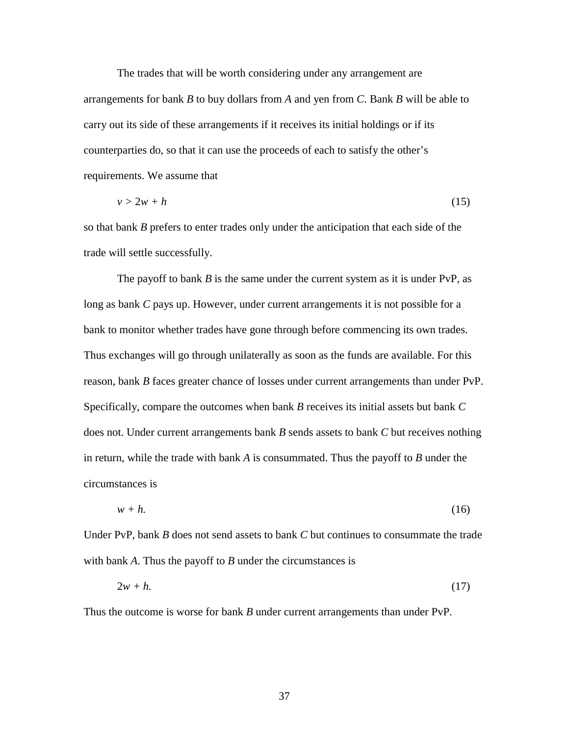The trades that will be worth considering under any arrangement are arrangements for bank *B* to buy dollars from *A* and yen from *C*. Bank *B* will be able to carry out its side of these arrangements if it receives its initial holdings or if its counterparties do, so that it can use the proceeds of each to satisfy the other's requirements. We assume that

$$
v > 2w + h \tag{15}
$$

so that bank *B* prefers to enter trades only under the anticipation that each side of the trade will settle successfully.

The payoff to bank *B* is the same under the current system as it is under PvP, as long as bank *C* pays up. However, under current arrangements it is not possible for a bank to monitor whether trades have gone through before commencing its own trades. Thus exchanges will go through unilaterally as soon as the funds are available. For this reason, bank *B* faces greater chance of losses under current arrangements than under PvP. Specifically, compare the outcomes when bank *B* receives its initial assets but bank *C* does not. Under current arrangements bank *B* sends assets to bank *C* but receives nothing in return, while the trade with bank *A* is consummated. Thus the payoff to *B* under the circumstances is

$$
w + h. \tag{16}
$$

Under PvP, bank *B* does not send assets to bank *C* but continues to consummate the trade with bank *A*. Thus the payoff to *B* under the circumstances is

$$
2w + h.\tag{17}
$$

Thus the outcome is worse for bank *B* under current arrangements than under PvP.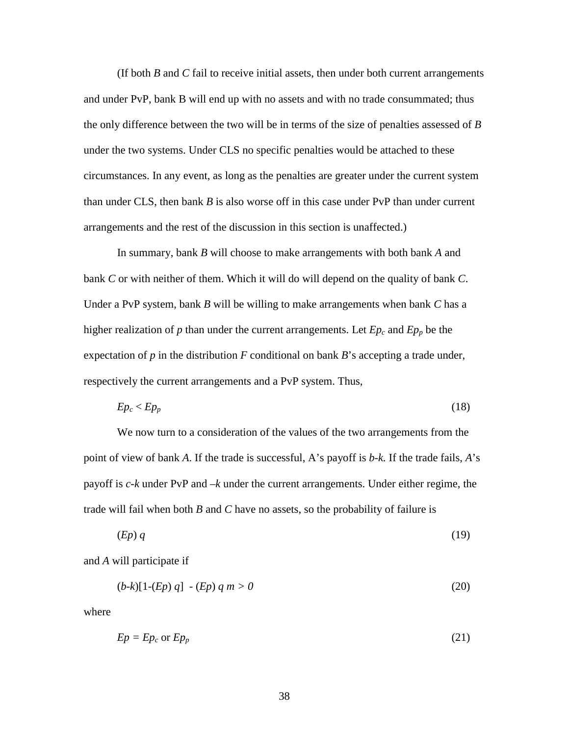(If both *B* and *C* fail to receive initial assets, then under both current arrangements and under PvP, bank B will end up with no assets and with no trade consummated; thus the only difference between the two will be in terms of the size of penalties assessed of *B* under the two systems. Under CLS no specific penalties would be attached to these circumstances. In any event, as long as the penalties are greater under the current system than under CLS, then bank *B* is also worse off in this case under PvP than under current arrangements and the rest of the discussion in this section is unaffected.)

In summary, bank *B* will choose to make arrangements with both bank *A* and bank *C* or with neither of them. Which it will do will depend on the quality of bank *C*. Under a PvP system, bank *B* will be willing to make arrangements when bank *C* has a higher realization of  $p$  than under the current arrangements. Let  $E p_c$  and  $E p_p$  be the expectation of  $p$  in the distribution  $F$  conditional on bank  $B$ 's accepting a trade under, respectively the current arrangements and a PvP system. Thus,

$$
Ep_c < Ep_p \tag{18}
$$

We now turn to a consideration of the values of the two arrangements from the point of view of bank *A*. If the trade is successful, A's payoff is *b-k.* If the trade fails, *A*'s payoff is *c-k* under PvP and *–k* under the current arrangements. Under either regime, the trade will fail when both *B* and *C* have no assets, so the probability of failure is

$$
(Ep) q \tag{19}
$$

and *A* will participate if

$$
(b-k)[1-(Ep) q] - (Ep) q m > 0 \tag{20}
$$

where

$$
Ep = Ep_c \text{ or } Ep_p \tag{21}
$$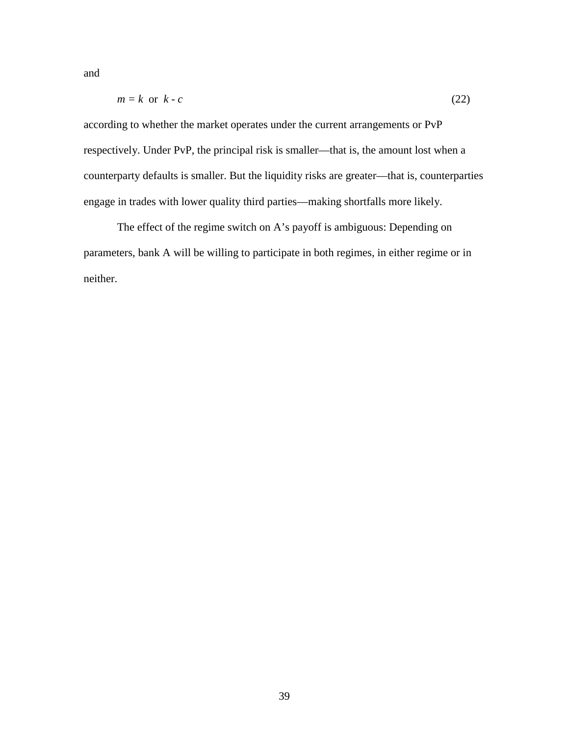and

$$
m = k \text{ or } k - c \tag{22}
$$

according to whether the market operates under the current arrangements or PvP respectively. Under PvP, the principal risk is smaller—that is, the amount lost when a counterparty defaults is smaller. But the liquidity risks are greater—that is, counterparties engage in trades with lower quality third parties—making shortfalls more likely.

The effect of the regime switch on A's payoff is ambiguous: Depending on parameters, bank A will be willing to participate in both regimes, in either regime or in neither.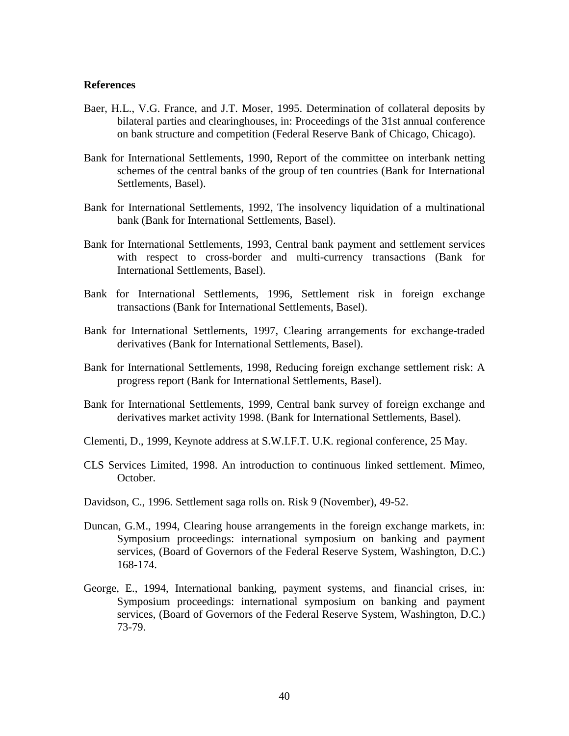#### **References**

- Baer, H.L., V.G. France, and J.T. Moser, 1995. Determination of collateral deposits by bilateral parties and clearinghouses, in: Proceedings of the 31st annual conference on bank structure and competition (Federal Reserve Bank of Chicago, Chicago).
- Bank for International Settlements, 1990, Report of the committee on interbank netting schemes of the central banks of the group of ten countries (Bank for International Settlements, Basel).
- Bank for International Settlements, 1992, The insolvency liquidation of a multinational bank (Bank for International Settlements, Basel).
- Bank for International Settlements, 1993, Central bank payment and settlement services with respect to cross-border and multi-currency transactions (Bank for International Settlements, Basel).
- Bank for International Settlements, 1996, Settlement risk in foreign exchange transactions (Bank for International Settlements, Basel).
- Bank for International Settlements, 1997, Clearing arrangements for exchange-traded derivatives (Bank for International Settlements, Basel).
- Bank for International Settlements, 1998, Reducing foreign exchange settlement risk: A progress report (Bank for International Settlements, Basel).
- Bank for International Settlements, 1999, Central bank survey of foreign exchange and derivatives market activity 1998. (Bank for International Settlements, Basel).
- Clementi, D., 1999, Keynote address at S.W.I.F.T. U.K. regional conference, 25 May.
- CLS Services Limited, 1998. An introduction to continuous linked settlement. Mimeo, October.
- Davidson, C., 1996. Settlement saga rolls on. Risk 9 (November), 49-52.
- Duncan, G.M., 1994, Clearing house arrangements in the foreign exchange markets, in: Symposium proceedings: international symposium on banking and payment services, (Board of Governors of the Federal Reserve System, Washington, D.C.) 168-174.
- George, E., 1994, International banking, payment systems, and financial crises, in: Symposium proceedings: international symposium on banking and payment services, (Board of Governors of the Federal Reserve System, Washington, D.C.) 73-79.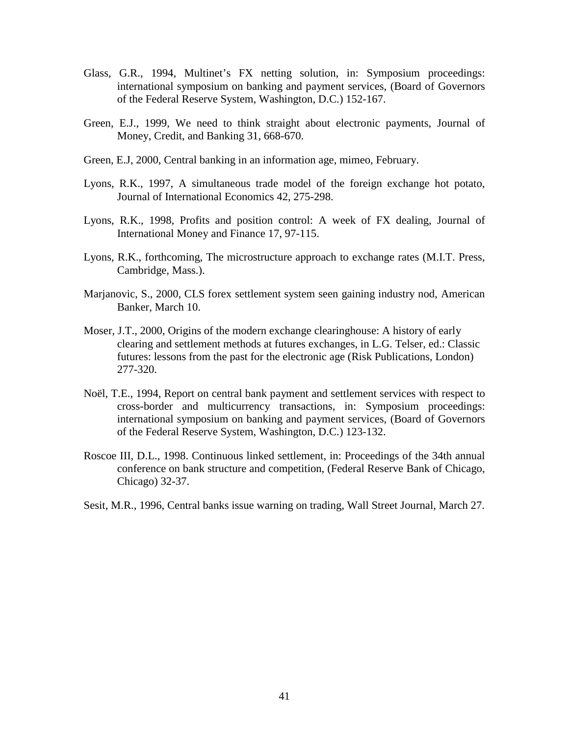- Glass, G.R., 1994, Multinet's FX netting solution, in: Symposium proceedings: international symposium on banking and payment services, (Board of Governors of the Federal Reserve System, Washington, D.C.) 152-167.
- Green, E.J., 1999, We need to think straight about electronic payments, Journal of Money, Credit, and Banking 31, 668-670.
- Green, E.J, 2000, Central banking in an information age, mimeo, February.
- Lyons, R.K., 1997, A simultaneous trade model of the foreign exchange hot potato, Journal of International Economics 42, 275-298.
- Lyons, R.K., 1998, Profits and position control: A week of FX dealing, Journal of International Money and Finance 17, 97-115.
- Lyons, R.K., forthcoming, The microstructure approach to exchange rates (M.I.T. Press, Cambridge, Mass.).
- Marjanovic, S., 2000, CLS forex settlement system seen gaining industry nod, American Banker, March 10.
- Moser, J.T., 2000, Origins of the modern exchange clearinghouse: A history of early clearing and settlement methods at futures exchanges, in L.G. Telser, ed.: Classic futures: lessons from the past for the electronic age (Risk Publications, London) 277-320.
- Noël, T.E., 1994, Report on central bank payment and settlement services with respect to cross-border and multicurrency transactions, in: Symposium proceedings: international symposium on banking and payment services, (Board of Governors of the Federal Reserve System, Washington, D.C.) 123-132.
- Roscoe III, D.L., 1998. Continuous linked settlement, in: Proceedings of the 34th annual conference on bank structure and competition, (Federal Reserve Bank of Chicago, Chicago) 32-37.
- Sesit, M.R., 1996, Central banks issue warning on trading, Wall Street Journal, March 27.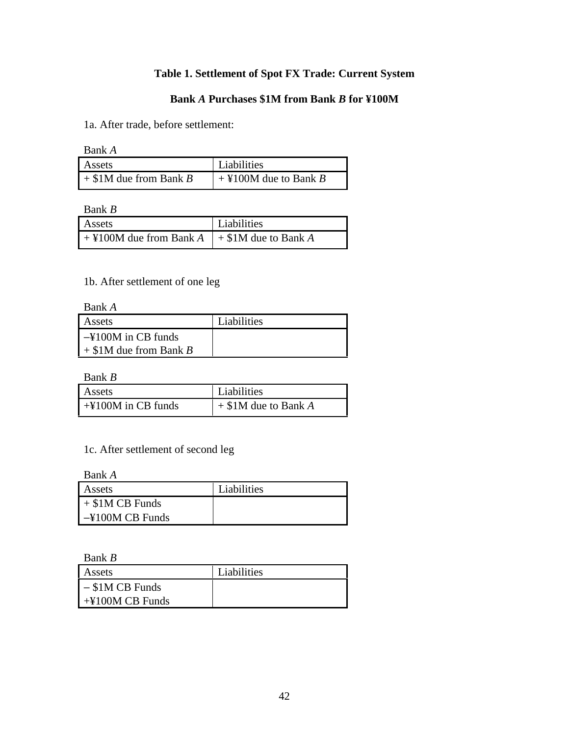## **Table 1. Settlement of Spot FX Trade: Current System**

## **Bank** *A* **Purchases \$1M from Bank** *B* **for ¥100M**

1a. After trade, before settlement:

Bank *A*

| Assets                   | <b>Liabilities</b>      |
|--------------------------|-------------------------|
| $+$ \$1M due from Bank B | $+$ ¥100M due to Bank B |

Bank *B*

| Assets                                           | Liabilities |
|--------------------------------------------------|-------------|
| $+$ ¥100M due from Bank A   + \$1M due to Bank A |             |

#### 1b. After settlement of one leg

Bank *A*

| Assets                         | Liabilities |
|--------------------------------|-------------|
| $-\frac{1}{2}100M$ in CB funds |             |
| $+$ \$1M due from Bank B       |             |

Bank *B*

| <b>Assets</b>                  | Liabilities            |
|--------------------------------|------------------------|
| $+\frac{y}{x}100M$ in CB funds | $+$ \$1M due to Bank A |

## 1c. After settlement of second leg

Bank *A*

| Assets                       | Liabilities |
|------------------------------|-------------|
| $+ $1M CB$ Funds             |             |
| $\rightarrow$ 4100M CB Funds |             |

Bank *B*

| Assets                      | Liabilities |
|-----------------------------|-------------|
| $-$ \$1M CB Funds           |             |
| $+\frac{1}{2}100M$ CB Funds |             |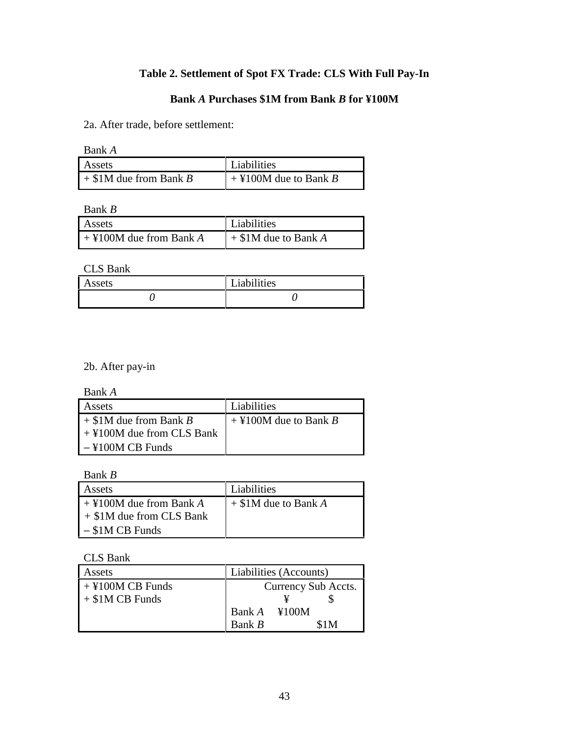## **Table 2. Settlement of Spot FX Trade: CLS With Full Pay-In**

## **Bank** *A* **Purchases \$1M from Bank** *B* **for ¥100M**

2a. After trade, before settlement:

Bank *A*

| Assets                   | Liabilities             |
|--------------------------|-------------------------|
| $+$ \$1M due from Bank B | $+$ ¥100M due to Bank B |

Bank *B*

| <b>Assets</b>             | Liabilities            |
|---------------------------|------------------------|
| $+$ ¥100M due from Bank A | $+$ \$1M due to Bank A |

CLS Bank

| Assets | Liabilities |
|--------|-------------|
|        |             |

2b. After pay-in

Bank *A*

| Assets                      | Liabilities             |
|-----------------------------|-------------------------|
| $+$ \$1M due from Bank B    | $+$ ¥100M due to Bank B |
| $+$ ¥100M due from CLS Bank |                         |
| $-$ ¥100M CB Funds          |                         |

Bank *B*

| Assets                     | Liabilities            |
|----------------------------|------------------------|
| $+$ ¥100M due from Bank A  | $+$ \$1M due to Bank A |
| $+$ \$1M due from CLS Bank |                        |
| $-$ \$1M CB Funds          |                        |

CLS Bank

| Assets             | Liabilities (Accounts) |
|--------------------|------------------------|
| $+$ ¥100M CB Funds | Currency Sub Accts.    |
| $+ $1M CB$ Funds   |                        |
|                    | Bank $A$ ¥100M         |
|                    | Bank B<br>31M          |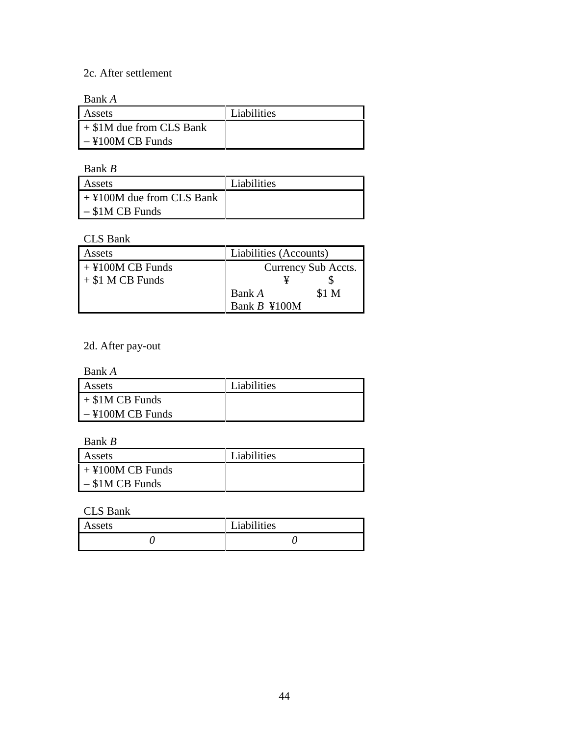#### 2c. After settlement

Bank *A*

| Assets                     | Liabilities |
|----------------------------|-------------|
| $+$ \$1M due from CLS Bank |             |
| $-$ ¥100M CB Funds         |             |

Bank *B*

| Assets                      | Liabilities |
|-----------------------------|-------------|
| $+$ ¥100M due from CLS Bank |             |
| $-$ \$1M CB Funds           |             |

## CLS Bank

| Assets             | Liabilities (Accounts) |
|--------------------|------------------------|
| $+$ ¥100M CB Funds | Currency Sub Accts.    |
| $+ $1 M CB$ Funds  |                        |
|                    | \$1 M<br>Bank A        |
|                    | Bank $B \neq 100M$     |

## 2d. After pay-out

Bank *A*

| Assets             | Liabilities |
|--------------------|-------------|
| $+$ \$1M CB Funds  |             |
| $-$ ¥100M CB Funds |             |

Bank *B*

| Assets             | Liabilities |
|--------------------|-------------|
| $+$ ¥100M CB Funds |             |
| $-$ \$1M CB Funds  |             |

CLS Bank

| Assets | Liabilities |
|--------|-------------|
|        |             |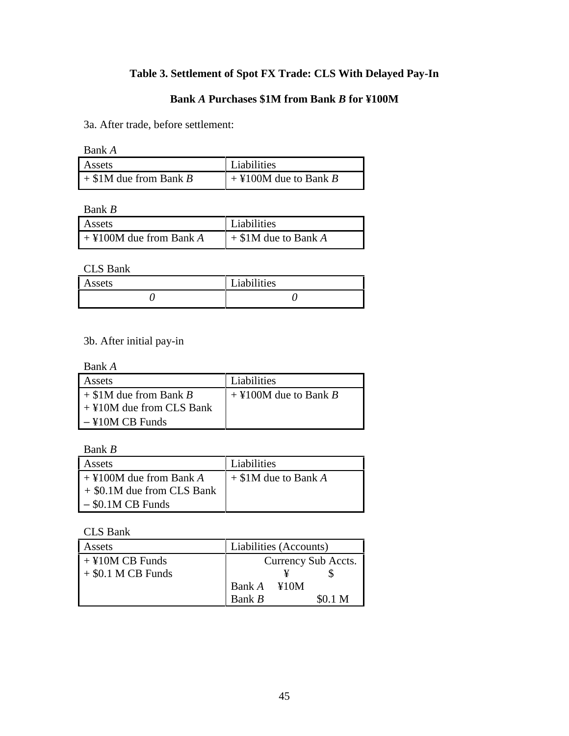## **Table 3. Settlement of Spot FX Trade: CLS With Delayed Pay-In**

## **Bank** *A* **Purchases \$1M from Bank** *B* **for ¥100M**

3a. After trade, before settlement:

Bank *A*

| <b>Assets</b>            | Liabilities             |
|--------------------------|-------------------------|
| $+$ \$1M due from Bank B | $+$ ¥100M due to Bank B |

Bank *B*

| Assets                    | Liabilities            |
|---------------------------|------------------------|
| $+$ ¥100M due from Bank A | $+$ \$1M due to Bank A |

CLS Bank

| Assets | Liabilities |
|--------|-------------|
|        |             |

## 3b. After initial pay-in

Bank *A*

| Assets                     | Liabilities             |
|----------------------------|-------------------------|
| $+$ \$1M due from Bank B   | $+$ ¥100M due to Bank B |
| $+$ ¥10M due from CLS Bank |                         |
| $-$ ¥10M CB Funds          |                         |

Bank *B*

| Assets                       | Liabilities            |
|------------------------------|------------------------|
| $+$ ¥100M due from Bank A    | $+$ \$1M due to Bank A |
| $+$ \$0.1M due from CLS Bank |                        |
| $-$ \$0.1M CB Funds          |                        |

CLS Bank

| Assets                                    | Liabilities (Accounts) |
|-------------------------------------------|------------------------|
| $+$ ¥10M CB Funds<br>$+$ \$0.1 M CB Funds | Currency Sub Accts.    |
|                                           | Bank $A$ ¥10M          |
|                                           | Bank B<br>80.1 M       |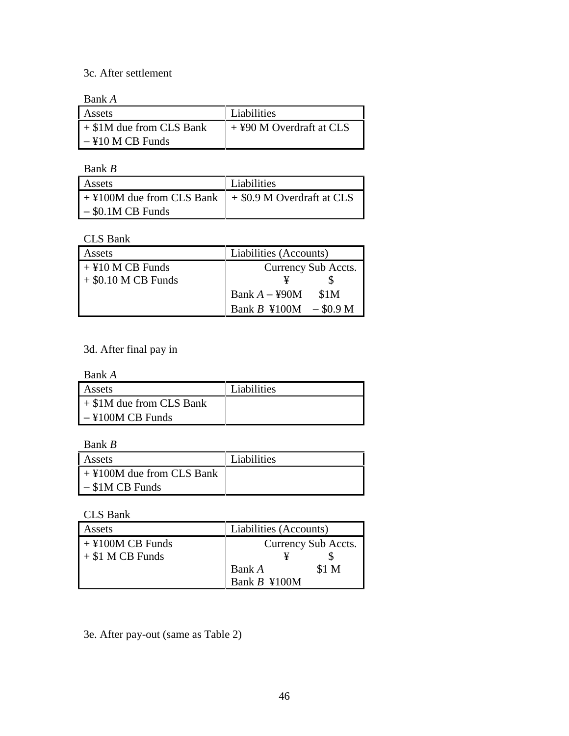#### 3c. After settlement

Bank *A*

| Assets                      | Liabilities                |
|-----------------------------|----------------------------|
| $+$ \$1M due from CLS Bank  | $+$ ¥90 M Overdraft at CLS |
| $-\frac{1}{2}10$ M CB Funds |                            |

Bank *B*

| Assets                                                     | Liabilities |
|------------------------------------------------------------|-------------|
| $+$ ¥100M due from CLS Bank $ $ + \$0.9 M Overdraft at CLS |             |
| $-$ \$0.1M CB Funds                                        |             |

#### CLS Bank

| Assets                | Liabilities (Accounts)    |  |
|-----------------------|---------------------------|--|
| $+$ ¥10 M CB Funds    | Currency Sub Accts.       |  |
| $+$ \$0.10 M CB Funds |                           |  |
|                       | Bank $A - 490M$<br>\$1M   |  |
|                       | Bank $B \neq 100M - 0.9M$ |  |

## 3d. After final pay in

Bank *A*

| Assets                      | Liabilities |
|-----------------------------|-------------|
| $+$ \$1M due from CLS Bank  |             |
| $-\frac{1}{2}100M$ CB Funds |             |

#### Bank *B*

| Assets                      | Liabilities |
|-----------------------------|-------------|
| $+$ ¥100M due from CLS Bank |             |
| $- $1M$ CB Funds            |             |

CLS Bank

| Assets             | Liabilities (Accounts) |  |  |
|--------------------|------------------------|--|--|
| $+$ ¥100M CB Funds | Currency Sub Accts.    |  |  |
| $+ $1 M CB$ Funds  |                        |  |  |
|                    | Bank A<br>\$1 M        |  |  |
|                    | Bank $B \neq 100M$     |  |  |

3e. After pay-out (same as Table 2)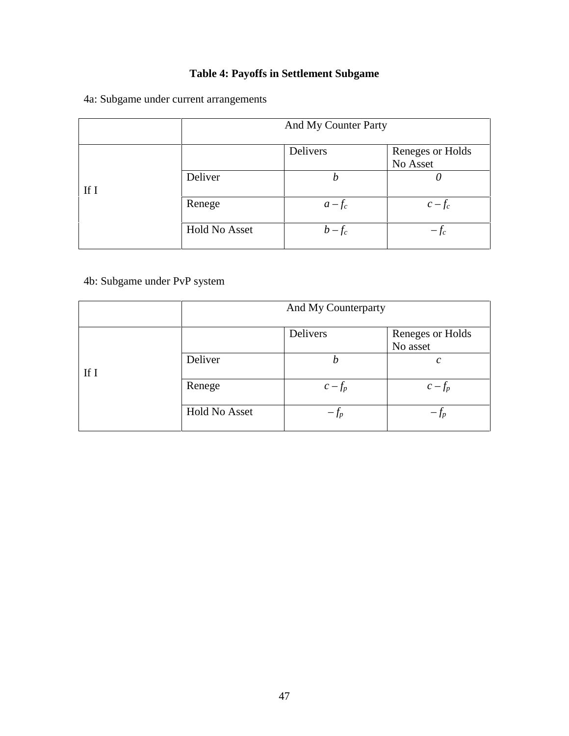## **Table 4: Payoffs in Settlement Subgame**

4a: Subgame under current arrangements

|        | And My Counter Party |          |                              |
|--------|----------------------|----------|------------------------------|
|        |                      | Delivers | Reneges or Holds<br>No Asset |
| If $I$ | Deliver              | b        |                              |
|        | Renege               | $a-f_c$  | $c-f_c$                      |
|        | <b>Hold No Asset</b> | $b-f_c$  | $-f_c$                       |

## 4b: Subgame under PvP system

|        | And My Counterparty  |          |                              |
|--------|----------------------|----------|------------------------------|
|        |                      | Delivers | Reneges or Holds<br>No asset |
| If $I$ | Deliver              | h        | $\mathcal{C}_{\mathcal{C}}$  |
|        | Renege               | $c-f_p$  | $c-f_p$                      |
|        | <b>Hold No Asset</b> | $-f_p$   |                              |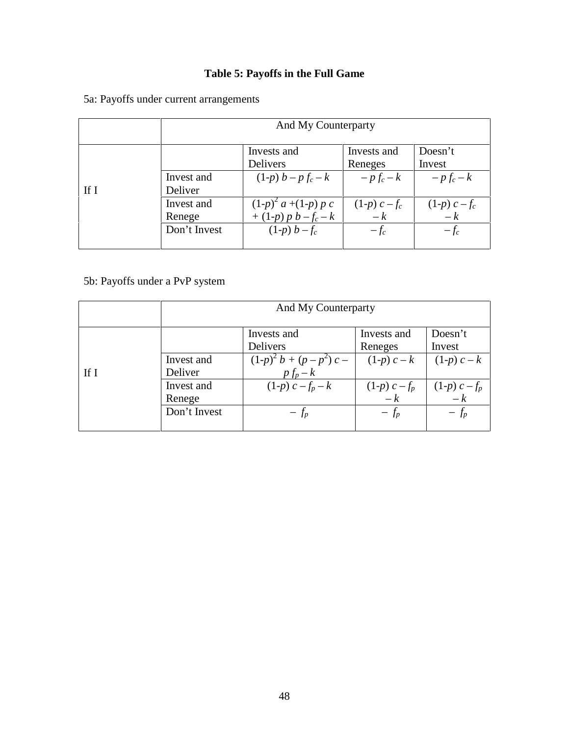## **Table 5: Payoffs in the Full Game**

## 5a: Payoffs under current arrangements

|      | And My Counterparty   |                                                |                         |                        |
|------|-----------------------|------------------------------------------------|-------------------------|------------------------|
|      |                       | Invests and<br>Delivers                        | Invests and<br>Reneges  | Doesn't<br>Invest      |
| If I | Invest and<br>Deliver | $(1-p) b - p f_c - k$                          | $-p f_c - k$            | $-p f_c - k$           |
|      | Invest and<br>Renege  | $(1-p)^2 a+(1-p)p c$<br>$+(1-p) p b - f_c - k$ | $(1-p) c - f_c$<br>$-k$ | $(1-p) c - f_c$<br>- k |
|      | Don't Invest          | $(1-p) b - f_c$                                | $-f_c$                  | $-f_c$                 |

## 5b: Payoffs under a PvP system

|        | And My Counterparty   |                                          |                        |                        |
|--------|-----------------------|------------------------------------------|------------------------|------------------------|
|        |                       | Invests and<br>Delivers                  | Invests and<br>Reneges | Doesn't<br>Invest      |
| If $I$ | Invest and<br>Deliver | $(1-p)^2 b + (p-p^2) c -$<br>$p f_p - k$ | $(1-p) c - k$          | $(1-p) c - k$          |
|        | Invest and<br>Renege  | $(1-p) c - f_p - k$                      | $(1-p) c - f_p$<br>- k | $(1-p) c - f_p$<br>- k |
|        | Don't Invest          | $-f_p$                                   | $-f_p$                 | $-f_p$                 |